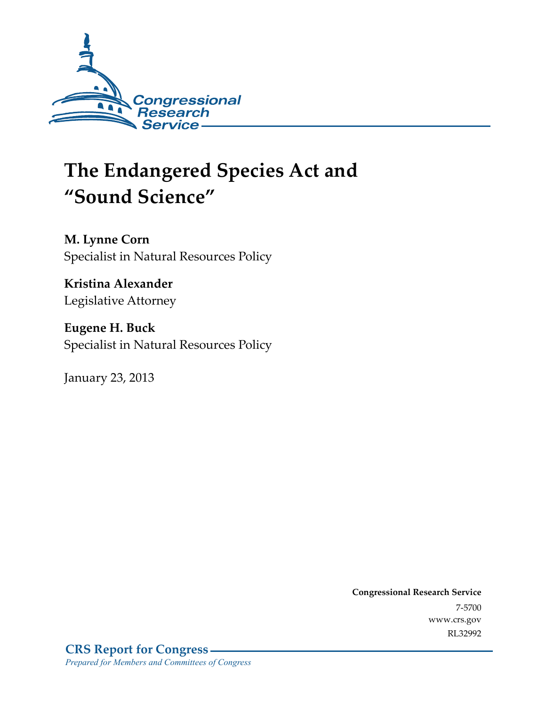

# **The Endangered Species Act and "Sound Science"**

**M. Lynne Corn**  Specialist in Natural Resources Policy

**Kristina Alexander**  Legislative Attorney

**Eugene H. Buck**  Specialist in Natural Resources Policy

January 23, 2013

**Congressional Research Service**  7-5700 www.crs.gov RL32992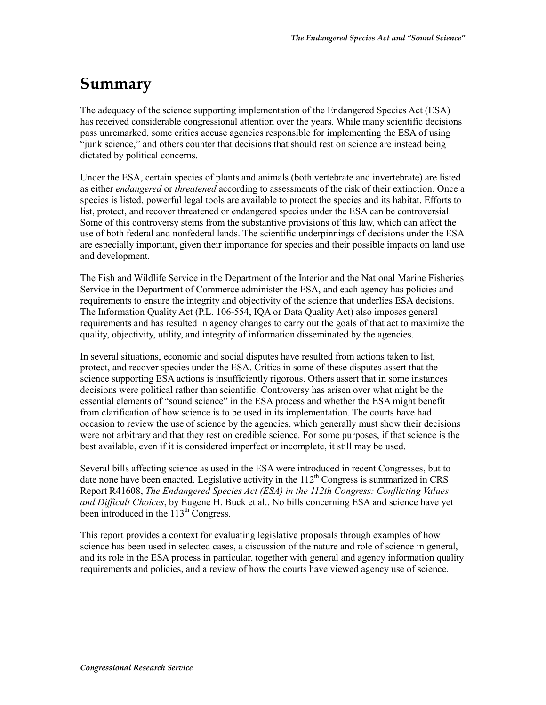### **Summary**

The adequacy of the science supporting implementation of the Endangered Species Act (ESA) has received considerable congressional attention over the years. While many scientific decisions pass unremarked, some critics accuse agencies responsible for implementing the ESA of using "junk science," and others counter that decisions that should rest on science are instead being dictated by political concerns.

Under the ESA, certain species of plants and animals (both vertebrate and invertebrate) are listed as either *endangered* or *threatened* according to assessments of the risk of their extinction. Once a species is listed, powerful legal tools are available to protect the species and its habitat. Efforts to list, protect, and recover threatened or endangered species under the ESA can be controversial. Some of this controversy stems from the substantive provisions of this law, which can affect the use of both federal and nonfederal lands. The scientific underpinnings of decisions under the ESA are especially important, given their importance for species and their possible impacts on land use and development.

The Fish and Wildlife Service in the Department of the Interior and the National Marine Fisheries Service in the Department of Commerce administer the ESA, and each agency has policies and requirements to ensure the integrity and objectivity of the science that underlies ESA decisions. The Information Quality Act (P.L. 106-554, IQA or Data Quality Act) also imposes general requirements and has resulted in agency changes to carry out the goals of that act to maximize the quality, objectivity, utility, and integrity of information disseminated by the agencies.

In several situations, economic and social disputes have resulted from actions taken to list, protect, and recover species under the ESA. Critics in some of these disputes assert that the science supporting ESA actions is insufficiently rigorous. Others assert that in some instances decisions were political rather than scientific. Controversy has arisen over what might be the essential elements of "sound science" in the ESA process and whether the ESA might benefit from clarification of how science is to be used in its implementation. The courts have had occasion to review the use of science by the agencies, which generally must show their decisions were not arbitrary and that they rest on credible science. For some purposes, if that science is the best available, even if it is considered imperfect or incomplete, it still may be used.

Several bills affecting science as used in the ESA were introduced in recent Congresses, but to date none have been enacted. Legislative activity in the 112<sup>th</sup> Congress is summarized in CRS Report R41608, *The Endangered Species Act (ESA) in the 112th Congress: Conflicting Values and Difficult Choices*, by Eugene H. Buck et al.. No bills concerning ESA and science have yet been introduced in the  $113<sup>th</sup>$  Congress.

This report provides a context for evaluating legislative proposals through examples of how science has been used in selected cases, a discussion of the nature and role of science in general, and its role in the ESA process in particular, together with general and agency information quality requirements and policies, and a review of how the courts have viewed agency use of science.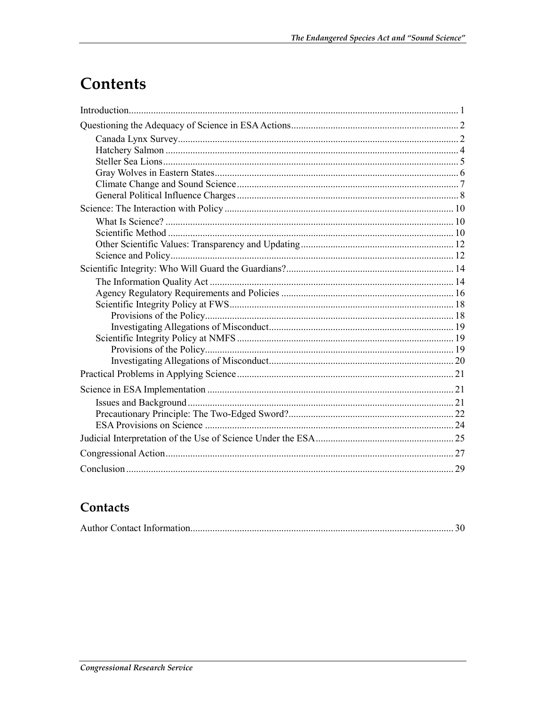## **Contents**

### Contacts

|--|--|--|--|--|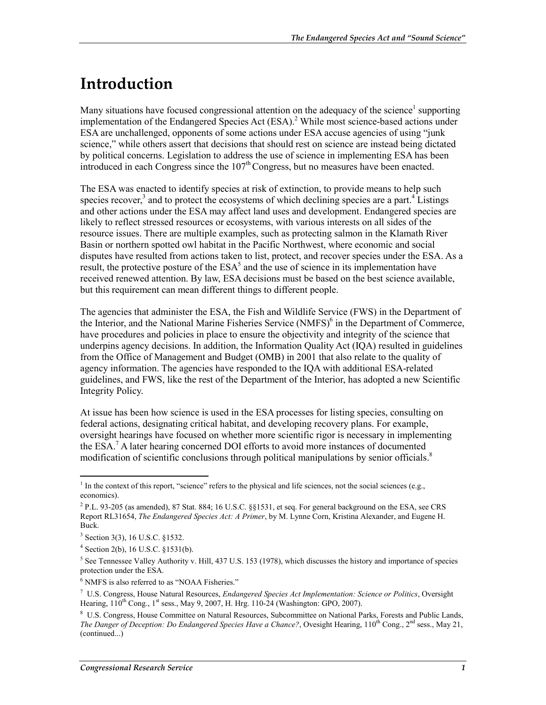## **Introduction**

Many situations have focused congressional attention on the adequacy of the science<sup>1</sup> supporting implementation of the Endangered Species Act (ESA).<sup>2</sup> While most science-based actions under ESA are unchallenged, opponents of some actions under ESA accuse agencies of using "junk science," while others assert that decisions that should rest on science are instead being dictated by political concerns. Legislation to address the use of science in implementing ESA has been introduced in each Congress since the  $107<sup>th</sup>$  Congress, but no measures have been enacted.

The ESA was enacted to identify species at risk of extinction, to provide means to help such species recover,<sup>3</sup> and to protect the ecosystems of which declining species are a part.<sup>4</sup> Listings and other actions under the ESA may affect land uses and development. Endangered species are likely to reflect stressed resources or ecosystems, with various interests on all sides of the resource issues. There are multiple examples, such as protecting salmon in the Klamath River Basin or northern spotted owl habitat in the Pacific Northwest, where economic and social disputes have resulted from actions taken to list, protect, and recover species under the ESA. As a result, the protective posture of the  $ESA^5$  and the use of science in its implementation have received renewed attention. By law, ESA decisions must be based on the best science available, but this requirement can mean different things to different people.

The agencies that administer the ESA, the Fish and Wildlife Service (FWS) in the Department of the Interior, and the National Marine Fisheries Service (NMFS)<sup>6</sup> in the Department of Commerce, have procedures and policies in place to ensure the objectivity and integrity of the science that underpins agency decisions. In addition, the Information Quality Act (IQA) resulted in guidelines from the Office of Management and Budget (OMB) in 2001 that also relate to the quality of agency information. The agencies have responded to the IQA with additional ESA-related guidelines, and FWS, like the rest of the Department of the Interior, has adopted a new Scientific Integrity Policy.

At issue has been how science is used in the ESA processes for listing species, consulting on federal actions, designating critical habitat, and developing recovery plans. For example, oversight hearings have focused on whether more scientific rigor is necessary in implementing the ESA.7 A later hearing concerned DOI efforts to avoid more instances of documented modification of scientific conclusions through political manipulations by senior officials.<sup>8</sup>

<u>.</u>

6 NMFS is also referred to as "NOAA Fisheries."

 $<sup>1</sup>$  In the context of this report, "science" refers to the physical and life sciences, not the social sciences (e.g.,</sup> economics).

 $^{2}$  P.L. 93-205 (as amended), 87 Stat. 884; 16 U.S.C. §§1531, et seq. For general background on the ESA, see CRS Report RL31654, *The Endangered Species Act: A Primer*, by M. Lynne Corn, Kristina Alexander, and Eugene H. Buck.

<sup>3</sup> Section 3(3), 16 U.S.C. §1532.

<sup>4</sup> Section 2(b), 16 U.S.C. §1531(b).

 $<sup>5</sup>$  See Tennessee Valley Authority v. Hill, 437 U.S. 153 (1978), which discusses the history and importance of species</sup> protection under the ESA.

<sup>7</sup> U.S. Congress, House Natural Resources, *Endangered Species Act Implementation: Science or Politics*, Oversight Hearing,  $110^{th}$  Cong.,  $1^{st}$  sess., May 9, 2007, H. Hrg.  $110-24$  (Washington: GPO, 2007).

<sup>8</sup> U.S. Congress, House Committee on Natural Resources, Subcommittee on National Parks, Forests and Public Lands, *The Danger of Deception: Do Endangered Species Have a Chance?*, Ovesight Hearing, 110<sup>th</sup> Cong., 2<sup>nd</sup> sess., May 21, (continued...)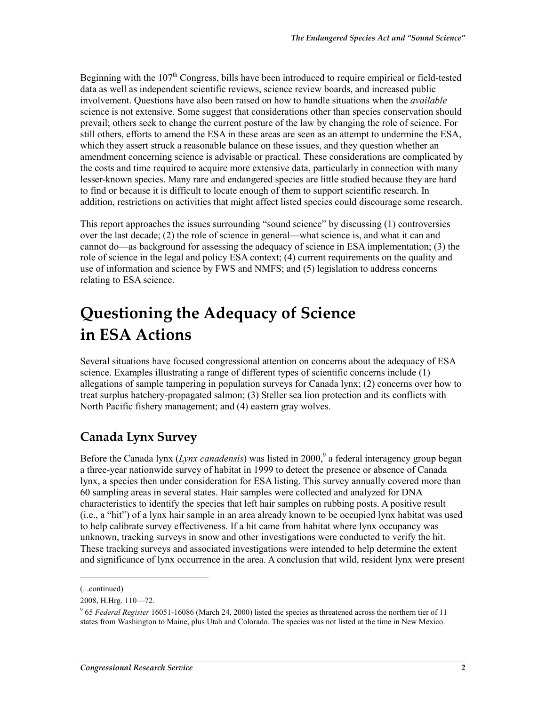Beginning with the  $107<sup>th</sup>$  Congress, bills have been introduced to require empirical or field-tested data as well as independent scientific reviews, science review boards, and increased public involvement. Questions have also been raised on how to handle situations when the *available* science is not extensive. Some suggest that considerations other than species conservation should prevail; others seek to change the current posture of the law by changing the role of science. For still others, efforts to amend the ESA in these areas are seen as an attempt to undermine the ESA, which they assert struck a reasonable balance on these issues, and they question whether an amendment concerning science is advisable or practical. These considerations are complicated by the costs and time required to acquire more extensive data, particularly in connection with many lesser-known species. Many rare and endangered species are little studied because they are hard to find or because it is difficult to locate enough of them to support scientific research. In addition, restrictions on activities that might affect listed species could discourage some research.

This report approaches the issues surrounding "sound science" by discussing (1) controversies over the last decade; (2) the role of science in general—what science is, and what it can and cannot do—as background for assessing the adequacy of science in ESA implementation; (3) the role of science in the legal and policy ESA context; (4) current requirements on the quality and use of information and science by FWS and NMFS; and (5) legislation to address concerns relating to ESA science.

## **Questioning the Adequacy of Science in ESA Actions**

Several situations have focused congressional attention on concerns about the adequacy of ESA science. Examples illustrating a range of different types of scientific concerns include (1) allegations of sample tampering in population surveys for Canada lynx; (2) concerns over how to treat surplus hatchery-propagated salmon; (3) Steller sea lion protection and its conflicts with North Pacific fishery management; and (4) eastern gray wolves.

### **Canada Lynx Survey**

Before the Canada lynx (*Lynx canadensis*) was listed in 2000,<sup>9</sup> a federal interagency group began a three-year nationwide survey of habitat in 1999 to detect the presence or absence of Canada lynx, a species then under consideration for ESA listing. This survey annually covered more than 60 sampling areas in several states. Hair samples were collected and analyzed for DNA characteristics to identify the species that left hair samples on rubbing posts. A positive result (i.e., a "hit") of a lynx hair sample in an area already known to be occupied lynx habitat was used to help calibrate survey effectiveness. If a hit came from habitat where lynx occupancy was unknown, tracking surveys in snow and other investigations were conducted to verify the hit. These tracking surveys and associated investigations were intended to help determine the extent and significance of lynx occurrence in the area. A conclusion that wild, resident lynx were present

<sup>(...</sup>continued)

<sup>2008,</sup> H.Hrg. 110—72.

<sup>9</sup> 65 *Federal Register* 16051-16086 (March 24, 2000) listed the species as threatened across the northern tier of 11 states from Washington to Maine, plus Utah and Colorado. The species was not listed at the time in New Mexico.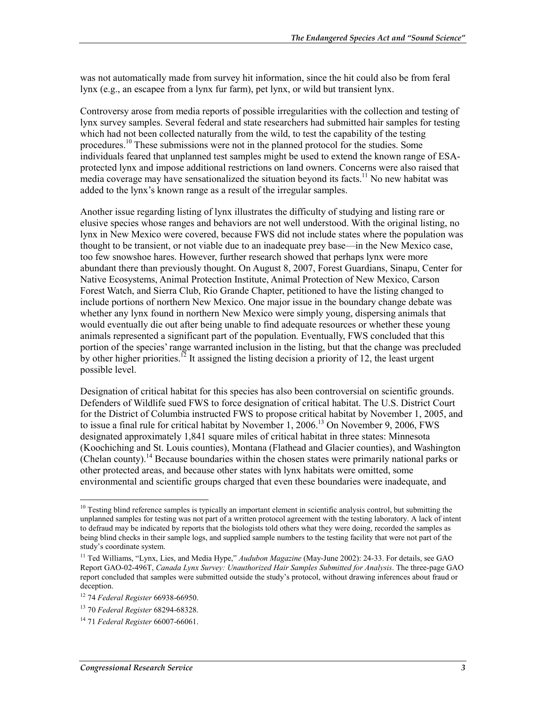was not automatically made from survey hit information, since the hit could also be from feral lynx (e.g., an escapee from a lynx fur farm), pet lynx, or wild but transient lynx.

Controversy arose from media reports of possible irregularities with the collection and testing of lynx survey samples. Several federal and state researchers had submitted hair samples for testing which had not been collected naturally from the wild, to test the capability of the testing procedures.10 These submissions were not in the planned protocol for the studies. Some individuals feared that unplanned test samples might be used to extend the known range of ESAprotected lynx and impose additional restrictions on land owners. Concerns were also raised that media coverage may have sensationalized the situation beyond its facts.<sup>11</sup> No new habitat was added to the lynx's known range as a result of the irregular samples.

Another issue regarding listing of lynx illustrates the difficulty of studying and listing rare or elusive species whose ranges and behaviors are not well understood. With the original listing, no lynx in New Mexico were covered, because FWS did not include states where the population was thought to be transient, or not viable due to an inadequate prey base—in the New Mexico case, too few snowshoe hares. However, further research showed that perhaps lynx were more abundant there than previously thought. On August 8, 2007, Forest Guardians, Sinapu, Center for Native Ecosystems, Animal Protection Institute, Animal Protection of New Mexico, Carson Forest Watch, and Sierra Club, Rio Grande Chapter, petitioned to have the listing changed to include portions of northern New Mexico. One major issue in the boundary change debate was whether any lynx found in northern New Mexico were simply young, dispersing animals that would eventually die out after being unable to find adequate resources or whether these young animals represented a significant part of the population. Eventually, FWS concluded that this portion of the species' range warranted inclusion in the listing, but that the change was precluded by other higher priorities.<sup>12</sup> It assigned the listing decision a priority of 12, the least urgent possible level.

Designation of critical habitat for this species has also been controversial on scientific grounds. Defenders of Wildlife sued FWS to force designation of critical habitat. The U.S. District Court for the District of Columbia instructed FWS to propose critical habitat by November 1, 2005, and to issue a final rule for critical habitat by November 1, 2006.<sup>13</sup> On November 9, 2006, FWS designated approximately 1,841 square miles of critical habitat in three states: Minnesota (Koochiching and St. Louis counties), Montana (Flathead and Glacier counties), and Washington (Chelan county).<sup>14</sup> Because boundaries within the chosen states were primarily national parks or other protected areas, and because other states with lynx habitats were omitted, some environmental and scientific groups charged that even these boundaries were inadequate, and

 $10$  Testing blind reference samples is typically an important element in scientific analysis control, but submitting the unplanned samples for testing was not part of a written protocol agreement with the testing laboratory. A lack of intent to defraud may be indicated by reports that the biologists told others what they were doing, recorded the samples as being blind checks in their sample logs, and supplied sample numbers to the testing facility that were not part of the study's coordinate system.

<sup>&</sup>lt;sup>11</sup> Ted Williams, "Lynx, Lies, and Media Hype," *Audubon Magazine* (May-June 2002): 24-33. For details, see GAO Report GAO-02-496T, *Canada Lynx Survey: Unauthorized Hair Samples Submitted for Analysis*. The three-page GAO report concluded that samples were submitted outside the study's protocol, without drawing inferences about fraud or deception.

<sup>12 74</sup> *Federal Register* 66938-66950.

<sup>13 70</sup> *Federal Register* 68294-68328.

<sup>14 71</sup> *Federal Register* 66007-66061.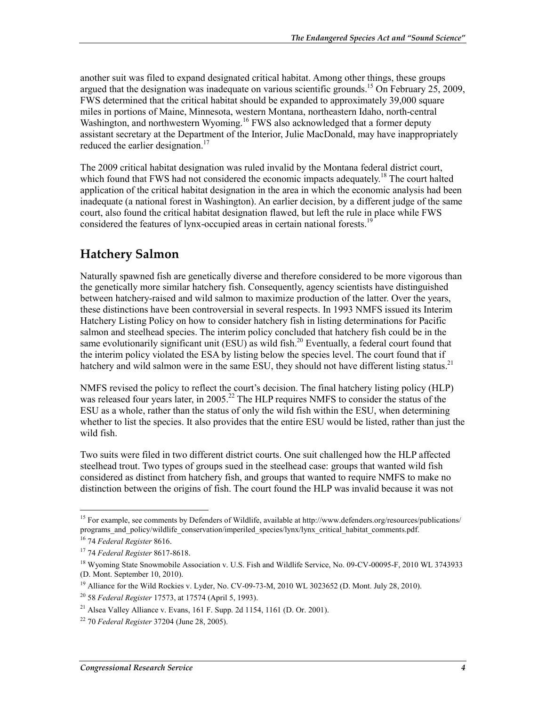another suit was filed to expand designated critical habitat. Among other things, these groups argued that the designation was inadequate on various scientific grounds.<sup>15</sup> On February 25, 2009, FWS determined that the critical habitat should be expanded to approximately 39,000 square miles in portions of Maine, Minnesota, western Montana, northeastern Idaho, north-central Washington, and northwestern Wyoming.<sup>16</sup> FWS also acknowledged that a former deputy assistant secretary at the Department of the Interior, Julie MacDonald, may have inappropriately reduced the earlier designation.<sup>17</sup>

The 2009 critical habitat designation was ruled invalid by the Montana federal district court, which found that FWS had not considered the economic impacts adequately.<sup>18</sup> The court halted application of the critical habitat designation in the area in which the economic analysis had been inadequate (a national forest in Washington). An earlier decision, by a different judge of the same court, also found the critical habitat designation flawed, but left the rule in place while FWS considered the features of lynx-occupied areas in certain national forests.<sup>19</sup>

#### **Hatchery Salmon**

Naturally spawned fish are genetically diverse and therefore considered to be more vigorous than the genetically more similar hatchery fish. Consequently, agency scientists have distinguished between hatchery-raised and wild salmon to maximize production of the latter. Over the years, these distinctions have been controversial in several respects. In 1993 NMFS issued its Interim Hatchery Listing Policy on how to consider hatchery fish in listing determinations for Pacific salmon and steelhead species. The interim policy concluded that hatchery fish could be in the same evolutionarily significant unit  $(ESU)$  as wild fish.<sup>20</sup> Eventually, a federal court found that the interim policy violated the ESA by listing below the species level. The court found that if hatchery and wild salmon were in the same ESU, they should not have different listing status.<sup>21</sup>

NMFS revised the policy to reflect the court's decision. The final hatchery listing policy (HLP) was released four years later, in 2005.<sup>22</sup> The HLP requires NMFS to consider the status of the ESU as a whole, rather than the status of only the wild fish within the ESU, when determining whether to list the species. It also provides that the entire ESU would be listed, rather than just the wild fish.

Two suits were filed in two different district courts. One suit challenged how the HLP affected steelhead trout. Two types of groups sued in the steelhead case: groups that wanted wild fish considered as distinct from hatchery fish, and groups that wanted to require NMFS to make no distinction between the origins of fish. The court found the HLP was invalid because it was not

<sup>&</sup>lt;sup>15</sup> For example, see comments by Defenders of Wildlife, available at http://www.defenders.org/resources/publications/ programs\_and\_policy/wildlife\_conservation/imperiled\_species/lynx/lynx\_critical\_habitat\_comments.pdf.

<sup>16 74</sup> *Federal Register* 8616.

<sup>17 74</sup> *Federal Register* 8617-8618.

<sup>&</sup>lt;sup>18</sup> Wyoming State Snowmobile Association v. U.S. Fish and Wildlife Service, No. 09-CV-00095-F, 2010 WL 3743933 (D. Mont. September 10, 2010).

<sup>&</sup>lt;sup>19</sup> Alliance for the Wild Rockies v. Lyder, No. CV-09-73-M, 2010 WL 3023652 (D. Mont. July 28, 2010).

<sup>20 58</sup> *Federal Register* 17573, at 17574 (April 5, 1993).

<sup>&</sup>lt;sup>21</sup> Alsea Valley Alliance v. Evans, 161 F. Supp. 2d 1154, 1161 (D. Or. 2001).

<sup>22 70</sup> *Federal Register* 37204 (June 28, 2005).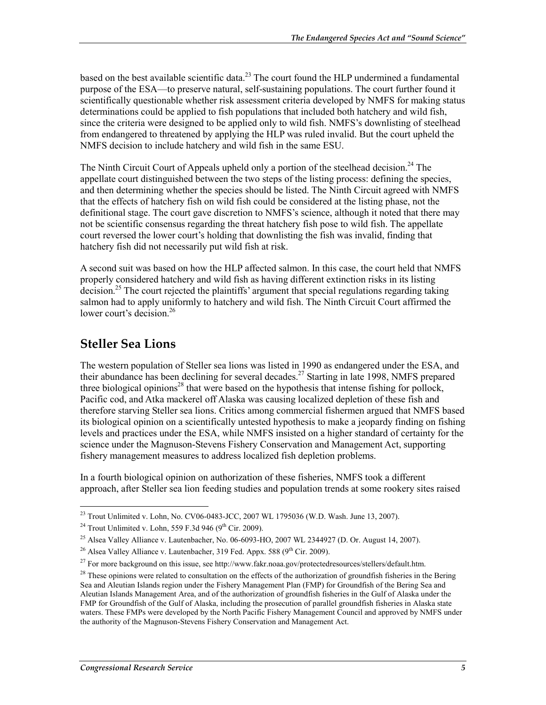based on the best available scientific data. $^{23}$  The court found the HLP undermined a fundamental purpose of the ESA—to preserve natural, self-sustaining populations. The court further found it scientifically questionable whether risk assessment criteria developed by NMFS for making status determinations could be applied to fish populations that included both hatchery and wild fish, since the criteria were designed to be applied only to wild fish. NMFS's downlisting of steelhead from endangered to threatened by applying the HLP was ruled invalid. But the court upheld the NMFS decision to include hatchery and wild fish in the same ESU.

The Ninth Circuit Court of Appeals upheld only a portion of the steelhead decision.<sup>24</sup> The appellate court distinguished between the two steps of the listing process: defining the species, and then determining whether the species should be listed. The Ninth Circuit agreed with NMFS that the effects of hatchery fish on wild fish could be considered at the listing phase, not the definitional stage. The court gave discretion to NMFS's science, although it noted that there may not be scientific consensus regarding the threat hatchery fish pose to wild fish. The appellate court reversed the lower court's holding that downlisting the fish was invalid, finding that hatchery fish did not necessarily put wild fish at risk.

A second suit was based on how the HLP affected salmon. In this case, the court held that NMFS properly considered hatchery and wild fish as having different extinction risks in its listing decision.<sup>25</sup> The court rejected the plaintiffs' argument that special regulations regarding taking salmon had to apply uniformly to hatchery and wild fish. The Ninth Circuit Court affirmed the lower court's decision.<sup>26</sup>

#### **Steller Sea Lions**

The western population of Steller sea lions was listed in 1990 as endangered under the ESA, and their abundance has been declining for several decades.27 Starting in late 1998, NMFS prepared three biological opinions<sup>28</sup> that were based on the hypothesis that intense fishing for pollock, Pacific cod, and Atka mackerel off Alaska was causing localized depletion of these fish and therefore starving Steller sea lions. Critics among commercial fishermen argued that NMFS based its biological opinion on a scientifically untested hypothesis to make a jeopardy finding on fishing levels and practices under the ESA, while NMFS insisted on a higher standard of certainty for the science under the Magnuson-Stevens Fishery Conservation and Management Act, supporting fishery management measures to address localized fish depletion problems.

In a fourth biological opinion on authorization of these fisheries, NMFS took a different approach, after Steller sea lion feeding studies and population trends at some rookery sites raised

<sup>&</sup>lt;u>.</u> <sup>23</sup> Trout Unlimited v. Lohn, No. CV06-0483-JCC, 2007 WL 1795036 (W.D. Wash. June 13, 2007).

<sup>&</sup>lt;sup>24</sup> Trout Unlimited v. Lohn, 559 F.3d 946 (9<sup>th</sup> Cir. 2009).

<sup>&</sup>lt;sup>25</sup> Alsea Valley Alliance v. Lautenbacher, No. 06-6093-HO, 2007 WL 2344927 (D. Or. August 14, 2007).

<sup>&</sup>lt;sup>26</sup> Alsea Valley Alliance v. Lautenbacher, 319 Fed. Appx. 588 ( $9<sup>th</sup> Cir. 2009$ ).

<sup>&</sup>lt;sup>27</sup> For more background on this issue, see http://www.fakr.noaa.gov/protectedresources/stellers/default.htm.

 $28$  These opinions were related to consultation on the effects of the authorization of groundfish fisheries in the Bering Sea and Aleutian Islands region under the Fishery Management Plan (FMP) for Groundfish of the Bering Sea and Aleutian Islands Management Area, and of the authorization of groundfish fisheries in the Gulf of Alaska under the FMP for Groundfish of the Gulf of Alaska, including the prosecution of parallel groundfish fisheries in Alaska state waters. These FMPs were developed by the North Pacific Fishery Management Council and approved by NMFS under the authority of the Magnuson-Stevens Fishery Conservation and Management Act.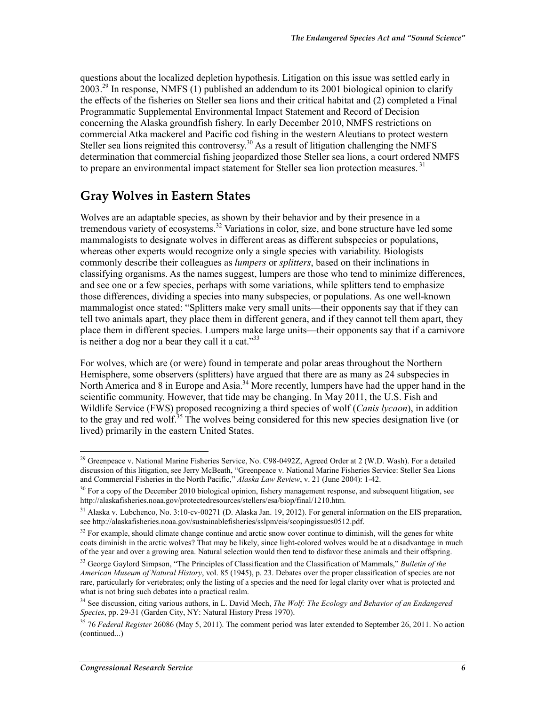questions about the localized depletion hypothesis. Litigation on this issue was settled early in  $2003<sup>29</sup>$  In response, NMFS (1) published an addendum to its 2001 biological opinion to clarify the effects of the fisheries on Steller sea lions and their critical habitat and (2) completed a Final Programmatic Supplemental Environmental Impact Statement and Record of Decision concerning the Alaska groundfish fishery. In early December 2010, NMFS restrictions on commercial Atka mackerel and Pacific cod fishing in the western Aleutians to protect western Steller sea lions reignited this controversy.<sup>30</sup> As a result of litigation challenging the NMFS determination that commercial fishing jeopardized those Steller sea lions, a court ordered NMFS to prepare an environmental impact statement for Steller sea lion protection measures.<sup>31</sup>

#### **Gray Wolves in Eastern States**

Wolves are an adaptable species, as shown by their behavior and by their presence in a tremendous variety of ecosystems.<sup>32</sup> Variations in color, size, and bone structure have led some mammalogists to designate wolves in different areas as different subspecies or populations, whereas other experts would recognize only a single species with variability. Biologists commonly describe their colleagues as *lumpers* or *splitters*, based on their inclinations in classifying organisms. As the names suggest, lumpers are those who tend to minimize differences, and see one or a few species, perhaps with some variations, while splitters tend to emphasize those differences, dividing a species into many subspecies, or populations. As one well-known mammalogist once stated: "Splitters make very small units—their opponents say that if they can tell two animals apart, they place them in different genera, and if they cannot tell them apart, they place them in different species. Lumpers make large units—their opponents say that if a carnivore is neither a dog nor a bear they call it a cat." $33$ 

For wolves, which are (or were) found in temperate and polar areas throughout the Northern Hemisphere, some observers (splitters) have argued that there are as many as 24 subspecies in North America and 8 in Europe and Asia.<sup>34</sup> More recently, lumpers have had the upper hand in the scientific community. However, that tide may be changing. In May 2011, the U.S. Fish and Wildlife Service (FWS) proposed recognizing a third species of wolf (*Canis lycaon*), in addition to the gray and red wolf.<sup>35</sup> The wolves being considered for this new species designation live (or lived) primarily in the eastern United States.

<sup>&</sup>lt;sup>29</sup> Greenpeace v. National Marine Fisheries Service, No. C98-0492Z, Agreed Order at 2 (W.D. Wash). For a detailed discussion of this litigation, see Jerry McBeath, "Greenpeace v. National Marine Fisheries Service: Steller Sea Lions and Commercial Fisheries in the North Pacific," *Alaska Law Review*, v. 21 (June 2004): 1-42.

<sup>&</sup>lt;sup>30</sup> For a copy of the December 2010 biological opinion, fishery management response, and subsequent litigation, see http://alaskafisheries.noaa.gov/protectedresources/stellers/esa/biop/final/1210.htm.

<sup>&</sup>lt;sup>31</sup> Alaska v. Lubchenco, No. 3:10-cv-00271 (D. Alaska Jan. 19, 2012). For general information on the EIS preparation, see http://alaskafisheries.noaa.gov/sustainablefisheries/sslpm/eis/scopingissues0512.pdf.

 $32$  For example, should climate change continue and arctic snow cover continue to diminish, will the genes for white coats diminish in the arctic wolves? That may be likely, since light-colored wolves would be at a disadvantage in much of the year and over a growing area. Natural selection would then tend to disfavor these animals and their offspring.

<sup>33</sup> George Gaylord Simpson, "The Principles of Classification and the Classification of Mammals," *Bulletin of the American Museum of Natural History*, vol. 85 (1945), p. 23. Debates over the proper classification of species are not rare, particularly for vertebrates; only the listing of a species and the need for legal clarity over what is protected and what is not bring such debates into a practical realm.

<sup>34</sup> See discussion, citing various authors, in L. David Mech, *The Wolf: The Ecology and Behavior of an Endangered Species*, pp. 29-31 (Garden City, NY: Natural History Press 1970).

<sup>35 76</sup> *Federal Register* 26086 (May 5, 2011). The comment period was later extended to September 26, 2011. No action (continued...)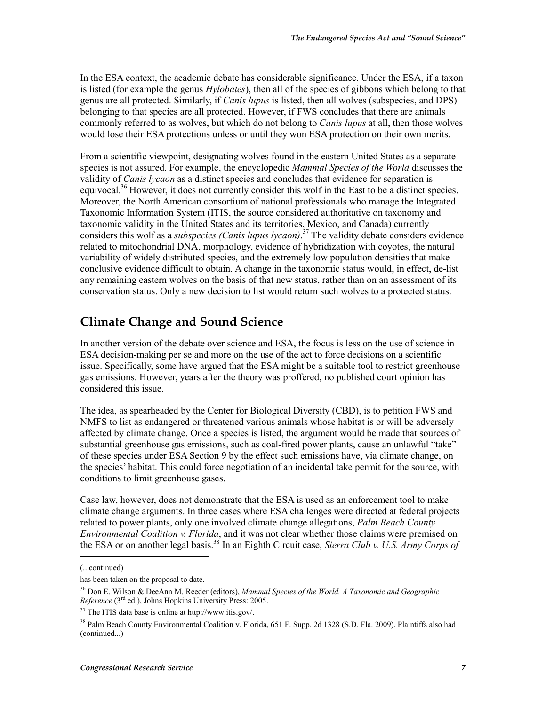In the ESA context, the academic debate has considerable significance. Under the ESA, if a taxon is listed (for example the genus *Hylobates*), then all of the species of gibbons which belong to that genus are all protected. Similarly, if *Canis lupus* is listed, then all wolves (subspecies, and DPS) belonging to that species are all protected. However, if FWS concludes that there are animals commonly referred to as wolves, but which do not belong to *Canis lupus* at all, then those wolves would lose their ESA protections unless or until they won ESA protection on their own merits.

From a scientific viewpoint, designating wolves found in the eastern United States as a separate species is not assured. For example, the encyclopedic *Mammal Species of the World* discusses the validity of *Canis lycaon* as a distinct species and concludes that evidence for separation is equivocal.<sup>36</sup> However, it does not currently consider this wolf in the East to be a distinct species. Moreover, the North American consortium of national professionals who manage the Integrated Taxonomic Information System (ITIS, the source considered authoritative on taxonomy and taxonomic validity in the United States and its territories, Mexico, and Canada) currently considers this wolf as a *subspecies (Canis lupus lycaon)*. 37 The validity debate considers evidence related to mitochondrial DNA, morphology, evidence of hybridization with coyotes, the natural variability of widely distributed species, and the extremely low population densities that make conclusive evidence difficult to obtain. A change in the taxonomic status would, in effect, de-list any remaining eastern wolves on the basis of that new status, rather than on an assessment of its conservation status. Only a new decision to list would return such wolves to a protected status.

### **Climate Change and Sound Science**

In another version of the debate over science and ESA, the focus is less on the use of science in ESA decision-making per se and more on the use of the act to force decisions on a scientific issue. Specifically, some have argued that the ESA might be a suitable tool to restrict greenhouse gas emissions. However, years after the theory was proffered, no published court opinion has considered this issue.

The idea, as spearheaded by the Center for Biological Diversity (CBD), is to petition FWS and NMFS to list as endangered or threatened various animals whose habitat is or will be adversely affected by climate change. Once a species is listed, the argument would be made that sources of substantial greenhouse gas emissions, such as coal-fired power plants, cause an unlawful "take" of these species under ESA Section 9 by the effect such emissions have, via climate change, on the species' habitat. This could force negotiation of an incidental take permit for the source, with conditions to limit greenhouse gases.

Case law, however, does not demonstrate that the ESA is used as an enforcement tool to make climate change arguments. In three cases where ESA challenges were directed at federal projects related to power plants, only one involved climate change allegations, *Palm Beach County Environmental Coalition v. Florida*, and it was not clear whether those claims were premised on the ESA or on another legal basis.<sup>38</sup> In an Eighth Circuit case, *Sierra Club v. U.S. Army Corps of* 

 $\overline{a}$ 

<sup>(...</sup>continued)

has been taken on the proposal to date.

<sup>36</sup> Don E. Wilson & DeeAnn M. Reeder (editors), *Mammal Species of the World. A Taxonomic and Geographic Reference* (3rd ed.), Johns Hopkins University Press: 2005.

<sup>37</sup> The ITIS data base is online at http://www.itis.gov/.

<sup>&</sup>lt;sup>38</sup> Palm Beach County Environmental Coalition v. Florida, 651 F. Supp. 2d 1328 (S.D. Fla. 2009). Plaintiffs also had (continued...)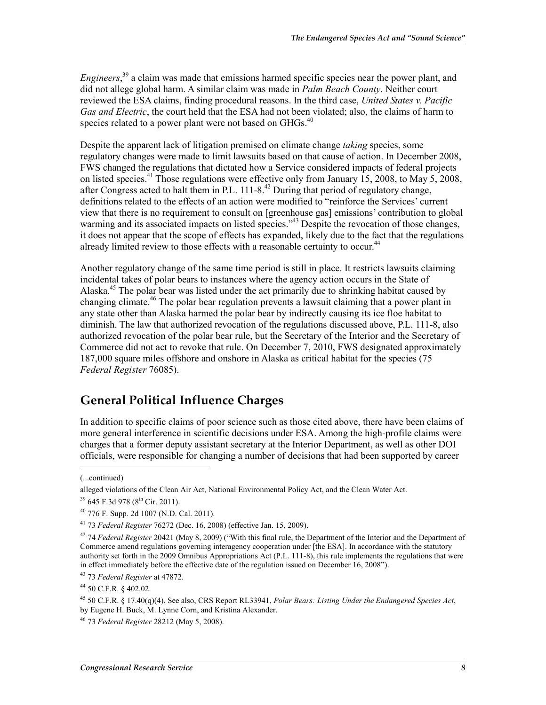*Engineers*, 39 a claim was made that emissions harmed specific species near the power plant, and did not allege global harm. A similar claim was made in *Palm Beach County*. Neither court reviewed the ESA claims, finding procedural reasons. In the third case, *United States v. Pacific Gas and Electric*, the court held that the ESA had not been violated; also, the claims of harm to species related to a power plant were not based on  $GHGs.<sup>40</sup>$ 

Despite the apparent lack of litigation premised on climate change *taking* species, some regulatory changes were made to limit lawsuits based on that cause of action. In December 2008, FWS changed the regulations that dictated how a Service considered impacts of federal projects on listed species.<sup>41</sup> Those regulations were effective only from January 15, 2008, to May 5, 2008, after Congress acted to halt them in P.L.  $111-8<sup>42</sup>$  During that period of regulatory change, definitions related to the effects of an action were modified to "reinforce the Services' current view that there is no requirement to consult on [greenhouse gas] emissions' contribution to global warming and its associated impacts on listed species.<sup>343</sup> Despite the revocation of those changes, it does not appear that the scope of effects has expanded, likely due to the fact that the regulations already limited review to those effects with a reasonable certainty to occur.<sup>44</sup>

Another regulatory change of the same time period is still in place. It restricts lawsuits claiming incidental takes of polar bears to instances where the agency action occurs in the State of Alaska<sup>45</sup> The polar bear was listed under the act primarily due to shrinking habitat caused by changing climate.<sup>46</sup> The polar bear regulation prevents a lawsuit claiming that a power plant in any state other than Alaska harmed the polar bear by indirectly causing its ice floe habitat to diminish. The law that authorized revocation of the regulations discussed above, P.L. 111-8, also authorized revocation of the polar bear rule, but the Secretary of the Interior and the Secretary of Commerce did not act to revoke that rule. On December 7, 2010, FWS designated approximately 187,000 square miles offshore and onshore in Alaska as critical habitat for the species (75 *Federal Register* 76085).

#### **General Political Influence Charges**

In addition to specific claims of poor science such as those cited above, there have been claims of more general interference in scientific decisions under ESA. Among the high-profile claims were charges that a former deputy assistant secretary at the Interior Department, as well as other DOI officials, were responsible for changing a number of decisions that had been supported by career

 $\overline{a}$ 

<sup>(...</sup>continued)

alleged violations of the Clean Air Act, National Environmental Policy Act, and the Clean Water Act.

 $39$  645 F.3d 978 ( $8^{th}$  Cir. 2011).

 $40$  776 F. Supp. 2d 1007 (N.D. Cal. 2011).

<sup>41 73</sup> *Federal Register* 76272 (Dec. 16, 2008) (effective Jan. 15, 2009).

<sup>42 74</sup> *Federal Register* 20421 (May 8, 2009) ("With this final rule, the Department of the Interior and the Department of Commerce amend regulations governing interagency cooperation under [the ESA]. In accordance with the statutory authority set forth in the 2009 Omnibus Appropriations Act (P.L. 111-8), this rule implements the regulations that were in effect immediately before the effective date of the regulation issued on December 16, 2008").

<sup>43 73</sup> *Federal Register* at 47872.

<sup>44 50</sup> C.F.R. § 402.02.

<sup>45 50</sup> C.F.R. § 17.40(q)(4). See also, CRS Report RL33941, *Polar Bears: Listing Under the Endangered Species Act*, by Eugene H. Buck, M. Lynne Corn, and Kristina Alexander.

<sup>46 73</sup> *Federal Register* 28212 (May 5, 2008).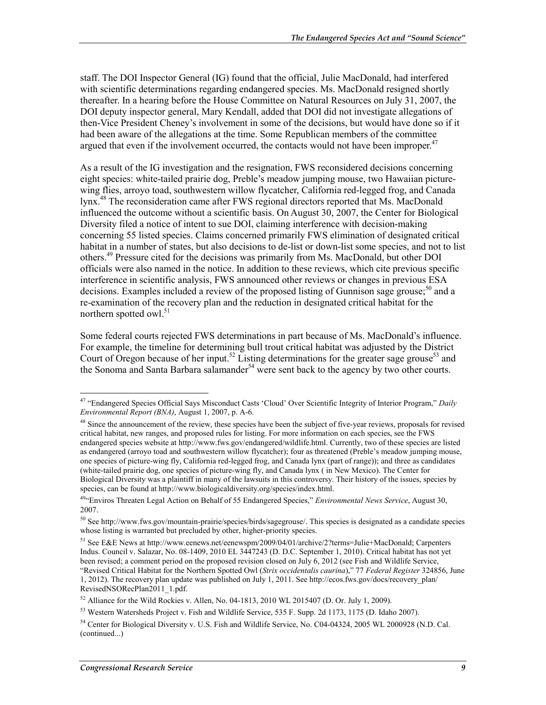staff. The DOI Inspector General (IG) found that the official, Julie MacDonald, had interfered with scientific determinations regarding endangered species. Ms. MacDonald resigned shortly thereafter. In a hearing before the House Committee on Natural Resources on July 31, 2007, the DOI deputy inspector general, Mary Kendall, added that DOI did not investigate allegations of then-Vice President Cheney's involvement in some of the decisions, but would have done so if it had been aware of the allegations at the time. Some Republican members of the committee argued that even if the involvement occurred, the contacts would not have been improper. $47$ 

As a result of the IG investigation and the resignation, FWS reconsidered decisions concerning eight species: white-tailed prairie dog, Preble's meadow jumping mouse, two Hawaiian picturewing flies, arroyo toad, southwestern willow flycatcher, California red-legged frog, and Canada lynx.<sup>48</sup> The reconsideration came after FWS regional directors reported that Ms. MacDonald influenced the outcome without a scientific basis. On August 30, 2007, the Center for Biological Diversity filed a notice of intent to sue DOI, claiming interference with decision-making concerning 55 listed species. Claims concerned primarily FWS elimination of designated critical habitat in a number of states, but also decisions to de-list or down-list some species, and not to list others.49 Pressure cited for the decisions was primarily from Ms. MacDonald, but other DOI officials were also named in the notice. In addition to these reviews, which cite previous specific interference in scientific analysis, FWS announced other reviews or changes in previous ESA decisions. Examples included a review of the proposed listing of Gunnison sage grouse;<sup>50</sup> and a re-examination of the recovery plan and the reduction in designated critical habitat for the northern spotted owl. $51$ 

Some federal courts rejected FWS determinations in part because of Ms. MacDonald's influence. For example, the timeline for determining bull trout critical habitat was adjusted by the District Court of Oregon because of her input.<sup>52</sup> Listing determinations for the greater sage grouse<sup>53</sup> and the Sonoma and Santa Barbara salamander<sup>54</sup> were sent back to the agency by two other courts.

<sup>47 &</sup>quot;Endangered Species Official Says Misconduct Casts 'Cloud' Over Scientific Integrity of Interior Program," *Daily Environmental Report (BNA)*, August 1, 2007, p. A-6.

<sup>&</sup>lt;sup>48</sup> Since the announcement of the review, these species have been the subject of five-year reviews, proposals for revised critical habitat, new ranges, and proposed rules for listing. For more information on each species, see the FWS endangered species website at http://www.fws.gov/endangered/wildlife.html. Currently, two of these species are listed as endangered (arroyo toad and southwestern willow flycatcher); four as threatened (Preble's meadow jumping mouse, one species of picture-wing fly, California red-legged frog, and Canada lynx (part of range)); and three as candidates (white-tailed prairie dog, one species of picture-wing fly, and Canada lynx ( in New Mexico). The Center for Biological Diversity was a plaintiff in many of the lawsuits in this controversy. Their history of the issues, species by species, can be found at http://www.biologicaldiversity.org/species/index.html.

<sup>49&</sup>quot;Enviros Threaten Legal Action on Behalf of 55 Endangered Species," *Environmental News Service*, August 30, 2007.

<sup>50</sup> See http://www.fws.gov/mountain-prairie/species/birds/sagegrouse/. This species is designated as a candidate species whose listing is warranted but precluded by other, higher-priority species.

<sup>&</sup>lt;sup>51</sup> See E&E News at http://www.eenews.net/eenewspm/2009/04/01/archive/2?terms=Julie+MacDonald; Carpenters Indus. Council v. Salazar, No. 08-1409, 2010 EL 3447243 (D. D.C. September 1, 2010). Critical habitat has not yet been revised; a comment period on the proposed revision closed on July 6, 2012 (see Fish and Wildlife Service, "Revised Critical Habitat for the Northern Spotted Owl (*Strix occidentalis caurina*)," 77 *Federal Register* 324856, June

<sup>1, 2012).</sup> The recovery plan update was published on July 1, 2011. See http://ecos.fws.gov/docs/recovery\_plan/ RevisedNSORecPlan2011\_1.pdf.

 $52$  Alliance for the Wild Rockies v. Allen, No. 04-1813, 2010 WL 2015407 (D. Or. July 1, 2009).

<sup>53</sup> Western Watersheds Project v. Fish and Wildlife Service, 535 F. Supp. 2d 1173, 1175 (D. Idaho 2007).

<sup>&</sup>lt;sup>54</sup> Center for Biological Diversity v. U.S. Fish and Wildlife Service, No. C04-04324, 2005 WL 2000928 (N.D. Cal.) (continued...)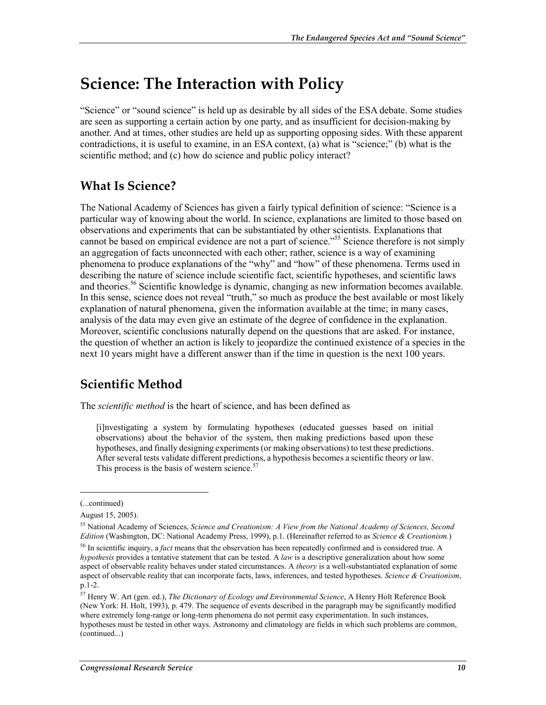### **Science: The Interaction with Policy**

"Science" or "sound science" is held up as desirable by all sides of the ESA debate. Some studies are seen as supporting a certain action by one party, and as insufficient for decision-making by another. And at times, other studies are held up as supporting opposing sides. With these apparent contradictions, it is useful to examine, in an ESA context, (a) what is "science;" (b) what is the scientific method; and (c) how do science and public policy interact?

#### **What Is Science?**

The National Academy of Sciences has given a fairly typical definition of science: "Science is a particular way of knowing about the world. In science, explanations are limited to those based on observations and experiments that can be substantiated by other scientists. Explanations that cannot be based on empirical evidence are not a part of science."55 Science therefore is not simply an aggregation of facts unconnected with each other; rather, science is a way of examining phenomena to produce explanations of the "why" and "how" of these phenomena. Terms used in describing the nature of science include scientific fact, scientific hypotheses, and scientific laws and theories.<sup>56</sup> Scientific knowledge is dynamic, changing as new information becomes available. In this sense, science does not reveal "truth," so much as produce the best available or most likely explanation of natural phenomena, given the information available at the time; in many cases, analysis of the data may even give an estimate of the degree of confidence in the explanation. Moreover, scientific conclusions naturally depend on the questions that are asked. For instance, the question of whether an action is likely to jeopardize the continued existence of a species in the next 10 years might have a different answer than if the time in question is the next 100 years.

#### **Scientific Method**

The *scientific method* is the heart of science, and has been defined as

[i]nvestigating a system by formulating hypotheses (educated guesses based on initial observations) about the behavior of the system, then making predictions based upon these hypotheses, and finally designing experiments (or making observations) to test these predictions. After several tests validate different predictions, a hypothesis becomes a scientific theory or law. This process is the basis of western science. $57$ 

<sup>(...</sup>continued)

August 15, 2005).

<sup>55</sup> National Academy of Sciences, *Science and Creationism: A View from the National Academy of Sciences, Second Edition* (Washington, DC: National Academy Press, 1999), p.1. (Hereinafter referred to as *Science & Creationism.*)

<sup>56</sup> In scientific inquiry, a *fact* means that the observation has been repeatedly confirmed and is considered true. A *hypothesis* provides a tentative statement that can be tested. A *law* is a descriptive generalization about how some aspect of observable reality behaves under stated circumstances. A *theory* is a well-substantiated explanation of some aspect of observable reality that can incorporate facts, laws, inferences, and tested hypotheses. *Science & Creationism*, p.1-2.

<sup>57</sup> Henry W. Art (gen. ed.), *The Dictionary of Ecology and Environmental Science*, A Henry Holt Reference Book (New York: H. Holt, 1993), p. 479. The sequence of events described in the paragraph may be significantly modified where extremely long-range or long-term phenomena do not permit easy experimentation. In such instances, hypotheses must be tested in other ways. Astronomy and climatology are fields in which such problems are common, (continued...)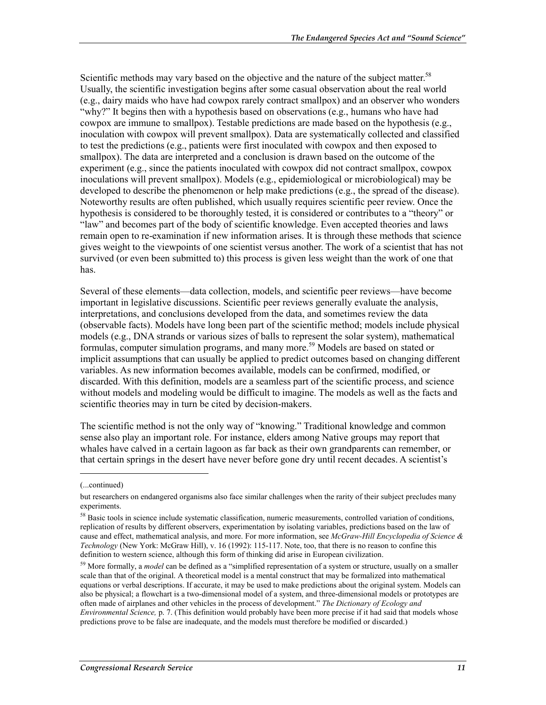Scientific methods may vary based on the objective and the nature of the subject matter.<sup>58</sup> Usually, the scientific investigation begins after some casual observation about the real world (e.g., dairy maids who have had cowpox rarely contract smallpox) and an observer who wonders "why?" It begins then with a hypothesis based on observations (e.g., humans who have had cowpox are immune to smallpox). Testable predictions are made based on the hypothesis (e.g., inoculation with cowpox will prevent smallpox). Data are systematically collected and classified to test the predictions (e.g., patients were first inoculated with cowpox and then exposed to smallpox). The data are interpreted and a conclusion is drawn based on the outcome of the experiment (e.g., since the patients inoculated with cowpox did not contract smallpox, cowpox inoculations will prevent smallpox). Models (e.g., epidemiological or microbiological) may be developed to describe the phenomenon or help make predictions (e.g., the spread of the disease). Noteworthy results are often published, which usually requires scientific peer review. Once the hypothesis is considered to be thoroughly tested, it is considered or contributes to a "theory" or "law" and becomes part of the body of scientific knowledge. Even accepted theories and laws remain open to re-examination if new information arises. It is through these methods that science gives weight to the viewpoints of one scientist versus another. The work of a scientist that has not survived (or even been submitted to) this process is given less weight than the work of one that has.

Several of these elements—data collection, models, and scientific peer reviews—have become important in legislative discussions. Scientific peer reviews generally evaluate the analysis, interpretations, and conclusions developed from the data, and sometimes review the data (observable facts). Models have long been part of the scientific method; models include physical models (e.g., DNA strands or various sizes of balls to represent the solar system), mathematical formulas, computer simulation programs, and many more.<sup>59</sup> Models are based on stated or implicit assumptions that can usually be applied to predict outcomes based on changing different variables. As new information becomes available, models can be confirmed, modified, or discarded. With this definition, models are a seamless part of the scientific process, and science without models and modeling would be difficult to imagine. The models as well as the facts and scientific theories may in turn be cited by decision-makers.

The scientific method is not the only way of "knowing." Traditional knowledge and common sense also play an important role. For instance, elders among Native groups may report that whales have calved in a certain lagoon as far back as their own grandparents can remember, or that certain springs in the desert have never before gone dry until recent decades. A scientist's

<sup>(...</sup>continued)

but researchers on endangered organisms also face similar challenges when the rarity of their subject precludes many experiments.

<sup>58</sup> Basic tools in science include systematic classification, numeric measurements, controlled variation of conditions, replication of results by different observers, experimentation by isolating variables, predictions based on the law of cause and effect, mathematical analysis, and more. For more information, see *McGraw-Hill Encyclopedia of Science & Technology* (New York: McGraw Hill), v. 16 (1992): 115-117. Note, too, that there is no reason to confine this definition to western science, although this form of thinking did arise in European civilization.

<sup>&</sup>lt;sup>59</sup> More formally, a *model* can be defined as a "simplified representation of a system or structure, usually on a smaller scale than that of the original. A theoretical model is a mental construct that may be formalized into mathematical equations or verbal descriptions. If accurate, it may be used to make predictions about the original system. Models can also be physical; a flowchart is a two-dimensional model of a system, and three-dimensional models or prototypes are often made of airplanes and other vehicles in the process of development." *The Dictionary of Ecology and Environmental Science,* p. 7. (This definition would probably have been more precise if it had said that models whose predictions prove to be false are inadequate, and the models must therefore be modified or discarded.)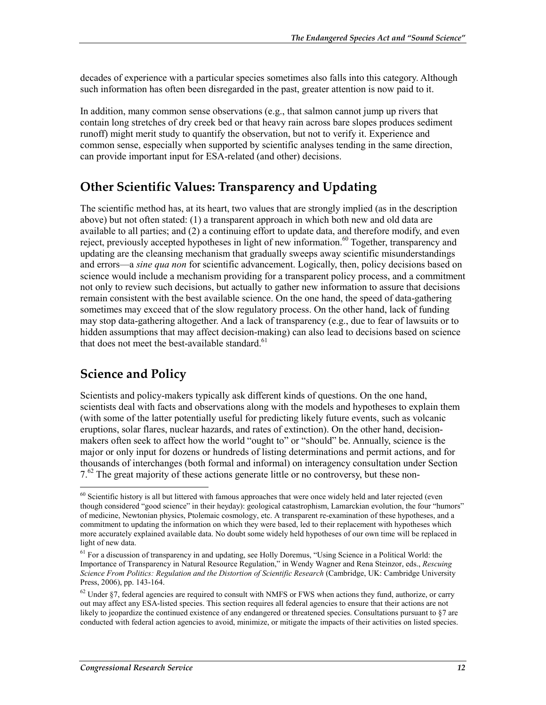decades of experience with a particular species sometimes also falls into this category. Although such information has often been disregarded in the past, greater attention is now paid to it.

In addition, many common sense observations (e.g., that salmon cannot jump up rivers that contain long stretches of dry creek bed or that heavy rain across bare slopes produces sediment runoff) might merit study to quantify the observation, but not to verify it. Experience and common sense, especially when supported by scientific analyses tending in the same direction, can provide important input for ESA-related (and other) decisions.

#### **Other Scientific Values: Transparency and Updating**

The scientific method has, at its heart, two values that are strongly implied (as in the description above) but not often stated: (1) a transparent approach in which both new and old data are available to all parties; and (2) a continuing effort to update data, and therefore modify, and even reject, previously accepted hypotheses in light of new information.<sup>60</sup> Together, transparency and updating are the cleansing mechanism that gradually sweeps away scientific misunderstandings and errors—a *sine qua non* for scientific advancement. Logically, then, policy decisions based on science would include a mechanism providing for a transparent policy process, and a commitment not only to review such decisions, but actually to gather new information to assure that decisions remain consistent with the best available science. On the one hand, the speed of data-gathering sometimes may exceed that of the slow regulatory process. On the other hand, lack of funding may stop data-gathering altogether. And a lack of transparency (e.g., due to fear of lawsuits or to hidden assumptions that may affect decision-making) can also lead to decisions based on science that does not meet the best-available standard. $61$ 

### **Science and Policy**

<u>.</u>

Scientists and policy-makers typically ask different kinds of questions. On the one hand, scientists deal with facts and observations along with the models and hypotheses to explain them (with some of the latter potentially useful for predicting likely future events, such as volcanic eruptions, solar flares, nuclear hazards, and rates of extinction). On the other hand, decisionmakers often seek to affect how the world "ought to" or "should" be. Annually, science is the major or only input for dozens or hundreds of listing determinations and permit actions, and for thousands of interchanges (both formal and informal) on interagency consultation under Section  $7<sup>62</sup>$  The great majority of these actions generate little or no controversy, but these non-

 $60$  Scientific history is all but littered with famous approaches that were once widely held and later rejected (even though considered "good science" in their heyday): geological catastrophism, Lamarckian evolution, the four "humors" of medicine, Newtonian physics, Ptolemaic cosmology, etc. A transparent re-examination of these hypotheses, and a commitment to updating the information on which they were based, led to their replacement with hypotheses which more accurately explained available data. No doubt some widely held hypotheses of our own time will be replaced in light of new data.

<sup>&</sup>lt;sup>61</sup> For a discussion of transparency in and updating, see Holly Doremus, "Using Science in a Political World: the Importance of Transparency in Natural Resource Regulation," in Wendy Wagner and Rena Steinzor, eds., *Rescuing Science From Politics: Regulation and the Distortion of Scientific Research* (Cambridge, UK: Cambridge University Press, 2006), pp. 143-164.

 $62$  Under §7, federal agencies are required to consult with NMFS or FWS when actions they fund, authorize, or carry out may affect any ESA-listed species. This section requires all federal agencies to ensure that their actions are not likely to jeopardize the continued existence of any endangered or threatened species. Consultations pursuant to §7 are conducted with federal action agencies to avoid, minimize, or mitigate the impacts of their activities on listed species.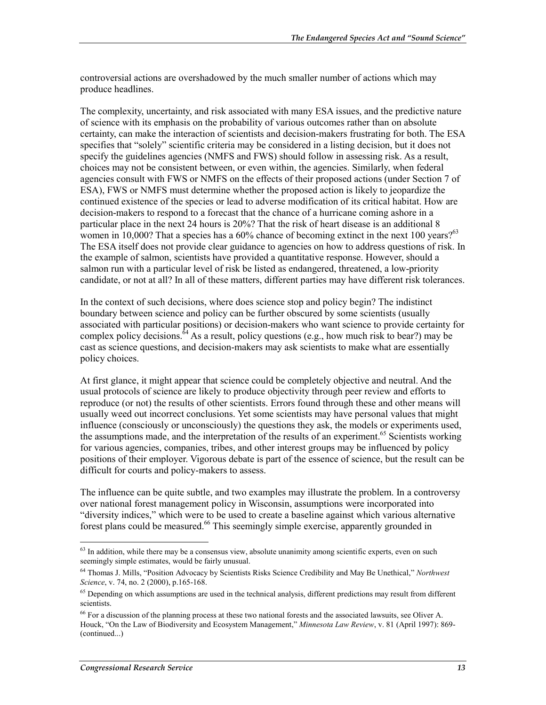controversial actions are overshadowed by the much smaller number of actions which may produce headlines.

The complexity, uncertainty, and risk associated with many ESA issues, and the predictive nature of science with its emphasis on the probability of various outcomes rather than on absolute certainty, can make the interaction of scientists and decision-makers frustrating for both. The ESA specifies that "solely" scientific criteria may be considered in a listing decision, but it does not specify the guidelines agencies (NMFS and FWS) should follow in assessing risk. As a result, choices may not be consistent between, or even within, the agencies. Similarly, when federal agencies consult with FWS or NMFS on the effects of their proposed actions (under Section 7 of ESA), FWS or NMFS must determine whether the proposed action is likely to jeopardize the continued existence of the species or lead to adverse modification of its critical habitat. How are decision-makers to respond to a forecast that the chance of a hurricane coming ashore in a particular place in the next 24 hours is 20%? That the risk of heart disease is an additional 8 women in 10,000? That a species has a 60% chance of becoming extinct in the next 100 years? $63$ The ESA itself does not provide clear guidance to agencies on how to address questions of risk. In the example of salmon, scientists have provided a quantitative response. However, should a salmon run with a particular level of risk be listed as endangered, threatened, a low-priority candidate, or not at all? In all of these matters, different parties may have different risk tolerances.

In the context of such decisions, where does science stop and policy begin? The indistinct boundary between science and policy can be further obscured by some scientists (usually associated with particular positions) or decision-makers who want science to provide certainty for complex policy decisions.  $^{64}$  As a result, policy questions (e.g., how much risk to bear?) may be cast as science questions, and decision-makers may ask scientists to make what are essentially policy choices.

At first glance, it might appear that science could be completely objective and neutral. And the usual protocols of science are likely to produce objectivity through peer review and efforts to reproduce (or not) the results of other scientists. Errors found through these and other means will usually weed out incorrect conclusions. Yet some scientists may have personal values that might influence (consciously or unconsciously) the questions they ask, the models or experiments used, the assumptions made, and the interpretation of the results of an experiment.<sup>65</sup> Scientists working for various agencies, companies, tribes, and other interest groups may be influenced by policy positions of their employer. Vigorous debate is part of the essence of science, but the result can be difficult for courts and policy-makers to assess.

The influence can be quite subtle, and two examples may illustrate the problem. In a controversy over national forest management policy in Wisconsin, assumptions were incorporated into "diversity indices," which were to be used to create a baseline against which various alternative forest plans could be measured.<sup>66</sup> This seemingly simple exercise, apparently grounded in

 $63$  In addition, while there may be a consensus view, absolute unanimity among scientific experts, even on such seemingly simple estimates, would be fairly unusual.

<sup>64</sup> Thomas J. Mills, "Position Advocacy by Scientists Risks Science Credibility and May Be Unethical," *Northwest Science*, v. 74, no. 2 (2000), p.165-168.

<sup>&</sup>lt;sup>65</sup> Depending on which assumptions are used in the technical analysis, different predictions may result from different scientists.

 $^{66}$  For a discussion of the planning process at these two national forests and the associated lawsuits, see Oliver A. Houck, "On the Law of Biodiversity and Ecosystem Management," *Minnesota Law Review*, v. 81 (April 1997): 869- (continued...)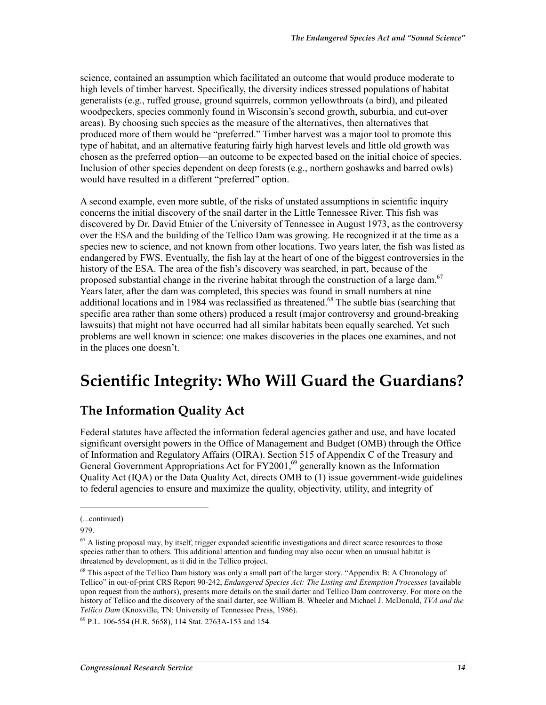science, contained an assumption which facilitated an outcome that would produce moderate to high levels of timber harvest. Specifically, the diversity indices stressed populations of habitat generalists (e.g., ruffed grouse, ground squirrels, common yellowthroats (a bird), and pileated woodpeckers, species commonly found in Wisconsin's second growth, suburbia, and cut-over areas). By choosing such species as the measure of the alternatives, then alternatives that produced more of them would be "preferred." Timber harvest was a major tool to promote this type of habitat, and an alternative featuring fairly high harvest levels and little old growth was chosen as the preferred option—an outcome to be expected based on the initial choice of species. Inclusion of other species dependent on deep forests (e.g., northern goshawks and barred owls) would have resulted in a different "preferred" option.

A second example, even more subtle, of the risks of unstated assumptions in scientific inquiry concerns the initial discovery of the snail darter in the Little Tennessee River. This fish was discovered by Dr. David Etnier of the University of Tennessee in August 1973, as the controversy over the ESA and the building of the Tellico Dam was growing. He recognized it at the time as a species new to science, and not known from other locations. Two years later, the fish was listed as endangered by FWS. Eventually, the fish lay at the heart of one of the biggest controversies in the history of the ESA. The area of the fish's discovery was searched, in part, because of the proposed substantial change in the riverine habitat through the construction of a large dam.<sup>67</sup> Years later, after the dam was completed, this species was found in small numbers at nine additional locations and in 1984 was reclassified as threatened.<sup>68</sup> The subtle bias (searching that specific area rather than some others) produced a result (major controversy and ground-breaking lawsuits) that might not have occurred had all similar habitats been equally searched. Yet such problems are well known in science: one makes discoveries in the places one examines, and not in the places one doesn't.

## **Scientific Integrity: Who Will Guard the Guardians?**

### **The Information Quality Act**

Federal statutes have affected the information federal agencies gather and use, and have located significant oversight powers in the Office of Management and Budget (OMB) through the Office of Information and Regulatory Affairs (OIRA). Section 515 of Appendix C of the Treasury and General Government Appropriations Act for  $\frac{FY2001}{6}$  generally known as the Information Quality Act (IQA) or the Data Quality Act, directs OMB to (1) issue government-wide guidelines to federal agencies to ensure and maximize the quality, objectivity, utility, and integrity of

 $\overline{a}$ 

<sup>(...</sup>continued)

<sup>979.</sup> 

 $<sup>67</sup>$  A listing proposal may, by itself, trigger expanded scientific investigations and direct scarce resources to those</sup> species rather than to others. This additional attention and funding may also occur when an unusual habitat is threatened by development, as it did in the Tellico project.

<sup>68</sup> This aspect of the Tellico Dam history was only a small part of the larger story. "Appendix B: A Chronology of Tellico" in out-of-print CRS Report 90-242, *Endangered Species Act: The Listing and Exemption Processes* (available upon request from the authors), presents more details on the snail darter and Tellico Dam controversy. For more on the history of Tellico and the discovery of the snail darter, see William B. Wheeler and Michael J. McDonald, *TVA and the Tellico Dam* (Knoxville, TN: University of Tennessee Press, 1986).

<sup>69</sup> P.L. 106-554 (H.R. 5658), 114 Stat. 2763A-153 and 154.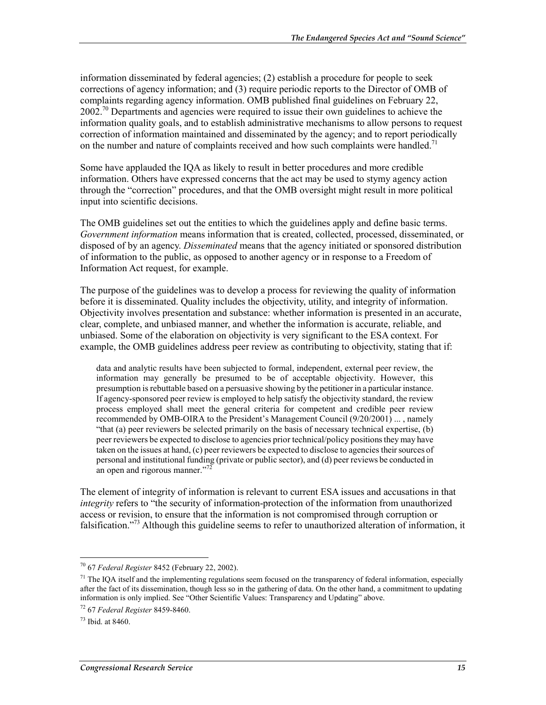information disseminated by federal agencies; (2) establish a procedure for people to seek corrections of agency information; and (3) require periodic reports to the Director of OMB of complaints regarding agency information. OMB published final guidelines on February 22,  $2002<sup>70</sup>$  Departments and agencies were required to issue their own guidelines to achieve the information quality goals, and to establish administrative mechanisms to allow persons to request correction of information maintained and disseminated by the agency; and to report periodically on the number and nature of complaints received and how such complaints were handled.<sup>71</sup>

Some have applauded the IQA as likely to result in better procedures and more credible information. Others have expressed concerns that the act may be used to stymy agency action through the "correction" procedures, and that the OMB oversight might result in more political input into scientific decisions.

The OMB guidelines set out the entities to which the guidelines apply and define basic terms. *Government information* means information that is created, collected, processed, disseminated, or disposed of by an agency. *Disseminated* means that the agency initiated or sponsored distribution of information to the public, as opposed to another agency or in response to a Freedom of Information Act request, for example.

The purpose of the guidelines was to develop a process for reviewing the quality of information before it is disseminated. Quality includes the objectivity, utility, and integrity of information. Objectivity involves presentation and substance: whether information is presented in an accurate, clear, complete, and unbiased manner, and whether the information is accurate, reliable, and unbiased. Some of the elaboration on objectivity is very significant to the ESA context. For example, the OMB guidelines address peer review as contributing to objectivity, stating that if:

data and analytic results have been subjected to formal, independent, external peer review, the information may generally be presumed to be of acceptable objectivity. However, this presumption is rebuttable based on a persuasive showing by the petitioner in a particular instance. If agency-sponsored peer review is employed to help satisfy the objectivity standard, the review process employed shall meet the general criteria for competent and credible peer review recommended by OMB-OIRA to the President's Management Council (9/20/2001) ... , namely "that (a) peer reviewers be selected primarily on the basis of necessary technical expertise, (b) peer reviewers be expected to disclose to agencies prior technical/policy positions they may have taken on the issues at hand, (c) peer reviewers be expected to disclose to agencies their sources of personal and institutional funding (private or public sector), and (d) peer reviews be conducted in an open and rigorous manner."<sup>72</sup>

The element of integrity of information is relevant to current ESA issues and accusations in that *integrity* refers to "the security of information-protection of the information from unauthorized access or revision, to ensure that the information is not compromised through corruption or falsification."73 Although this guideline seems to refer to unauthorized alteration of information, it

<sup>70 67</sup> *Federal Register* 8452 (February 22, 2002).

<sup>&</sup>lt;sup>71</sup> The IQA itself and the implementing regulations seem focused on the transparency of federal information, especially after the fact of its dissemination, though less so in the gathering of data. On the other hand, a commitment to updating information is only implied. See "Other Scientific Values: Transparency and Updating" above.

<sup>72 67</sup> *Federal Register* 8459-8460.

<sup>73</sup> Ibid. at 8460.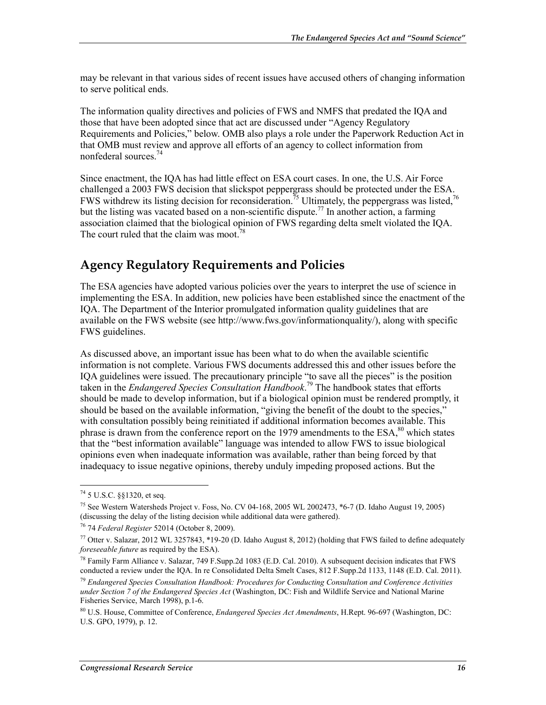may be relevant in that various sides of recent issues have accused others of changing information to serve political ends.

The information quality directives and policies of FWS and NMFS that predated the IQA and those that have been adopted since that act are discussed under "Agency Regulatory Requirements and Policies," below. OMB also plays a role under the Paperwork Reduction Act in that OMB must review and approve all efforts of an agency to collect information from nonfederal sources<sup>74</sup>

Since enactment, the IQA has had little effect on ESA court cases. In one, the U.S. Air Force challenged a 2003 FWS decision that slickspot peppergrass should be protected under the ESA. FWS withdrew its listing decision for reconsideration.<sup>75</sup> Ultimately, the peppergrass was listed,<sup>76</sup> but the listing was vacated based on a non-scientific dispute.<sup>77</sup> In another action, a farming association claimed that the biological opinion of FWS regarding delta smelt violated the IQA. The court ruled that the claim was moot.<sup>7</sup>

#### **Agency Regulatory Requirements and Policies**

The ESA agencies have adopted various policies over the years to interpret the use of science in implementing the ESA. In addition, new policies have been established since the enactment of the IQA. The Department of the Interior promulgated information quality guidelines that are available on the FWS website (see http://www.fws.gov/informationquality/), along with specific FWS guidelines.

As discussed above, an important issue has been what to do when the available scientific information is not complete. Various FWS documents addressed this and other issues before the IQA guidelines were issued. The precautionary principle "to save all the pieces" is the position taken in the *Endangered Species Consultation Handbook*. 79 The handbook states that efforts should be made to develop information, but if a biological opinion must be rendered promptly, it should be based on the available information, "giving the benefit of the doubt to the species," with consultation possibly being reinitiated if additional information becomes available. This phrase is drawn from the conference report on the 1979 amendments to the  $ESA$ <sup>80</sup>, which states that the "best information available" language was intended to allow FWS to issue biological opinions even when inadequate information was available, rather than being forced by that inadequacy to issue negative opinions, thereby unduly impeding proposed actions. But the

<u>.</u>

 $^{74}$  5 U.S.C. §§1320, et seq.

<sup>75</sup> See Western Watersheds Project v. Foss, No. CV 04-168, 2005 WL 2002473, \*6-7 (D. Idaho August 19, 2005) (discussing the delay of the listing decision while additional data were gathered).

<sup>76 74</sup> *Federal Register* 52014 (October 8, 2009).

<sup>77</sup> Otter v. Salazar, 2012 WL 3257843, \*19-20 (D. Idaho August 8, 2012) (holding that FWS failed to define adequately *foreseeable future* as required by the ESA).

<sup>78</sup> Family Farm Alliance v. Salazar, 749 F.Supp.2d 1083 (E.D. Cal. 2010). A subsequent decision indicates that FWS conducted a review under the IQA. In re Consolidated Delta Smelt Cases, 812 F.Supp.2d 1133, 1148 (E.D. Cal. 2011).

<sup>79</sup> *Endangered Species Consultation Handbook: Procedures for Conducting Consultation and Conference Activities under Section 7 of the Endangered Species Act* (Washington, DC: Fish and Wildlife Service and National Marine Fisheries Service, March 1998), p.1-6.

<sup>80</sup> U.S. House, Committee of Conference, *Endangered Species Act Amendments*, H.Rept. 96-697 (Washington, DC: U.S. GPO, 1979), p. 12.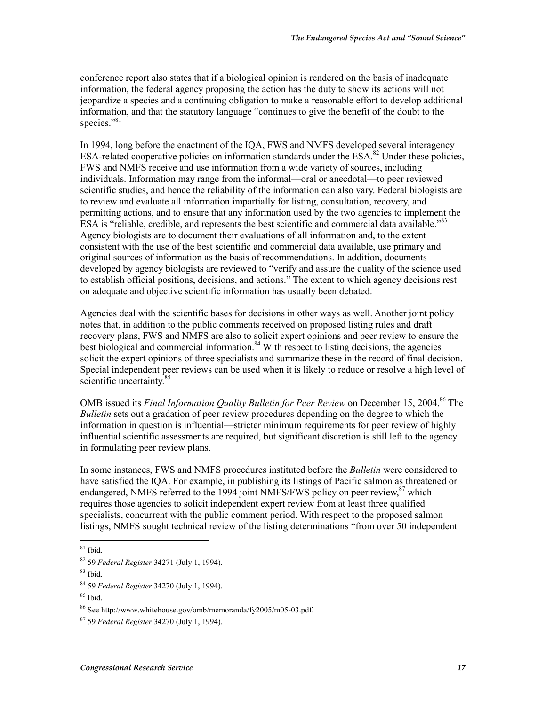conference report also states that if a biological opinion is rendered on the basis of inadequate information, the federal agency proposing the action has the duty to show its actions will not jeopardize a species and a continuing obligation to make a reasonable effort to develop additional information, and that the statutory language "continues to give the benefit of the doubt to the species."<sup>81</sup>

In 1994, long before the enactment of the IQA, FWS and NMFS developed several interagency ESA-related cooperative policies on information standards under the  $ESA$ <sup>82</sup>. Under these policies, FWS and NMFS receive and use information from a wide variety of sources, including individuals. Information may range from the informal—oral or anecdotal—to peer reviewed scientific studies, and hence the reliability of the information can also vary. Federal biologists are to review and evaluate all information impartially for listing, consultation, recovery, and permitting actions, and to ensure that any information used by the two agencies to implement the ESA is "reliable, credible, and represents the best scientific and commercial data available."<sup>83</sup> Agency biologists are to document their evaluations of all information and, to the extent consistent with the use of the best scientific and commercial data available, use primary and original sources of information as the basis of recommendations. In addition, documents developed by agency biologists are reviewed to "verify and assure the quality of the science used to establish official positions, decisions, and actions." The extent to which agency decisions rest on adequate and objective scientific information has usually been debated.

Agencies deal with the scientific bases for decisions in other ways as well. Another joint policy notes that, in addition to the public comments received on proposed listing rules and draft recovery plans, FWS and NMFS are also to solicit expert opinions and peer review to ensure the best biological and commercial information.<sup>84</sup> With respect to listing decisions, the agencies solicit the expert opinions of three specialists and summarize these in the record of final decision. Special independent peer reviews can be used when it is likely to reduce or resolve a high level of scientific uncertainty.<sup>85</sup>

OMB issued its *Final Information Quality Bulletin for Peer Review* on December 15, 2004.<sup>86</sup> The *Bulletin* sets out a gradation of peer review procedures depending on the degree to which the information in question is influential—stricter minimum requirements for peer review of highly influential scientific assessments are required, but significant discretion is still left to the agency in formulating peer review plans.

In some instances, FWS and NMFS procedures instituted before the *Bulletin* were considered to have satisfied the IQA. For example, in publishing its listings of Pacific salmon as threatened or endangered, NMFS referred to the 1994 joint NMFS/FWS policy on peer review,<sup>87</sup> which requires those agencies to solicit independent expert review from at least three qualified specialists, concurrent with the public comment period. With respect to the proposed salmon listings, NMFS sought technical review of the listing determinations "from over 50 independent

 $81$  Ibid.

<sup>82 59</sup> *Federal Register* 34271 (July 1, 1994).

 $83$  Ibid.

<sup>84 59</sup> *Federal Register* 34270 (July 1, 1994).

<sup>85</sup> Ibid.

<sup>86</sup> See http://www.whitehouse.gov/omb/memoranda/fy2005/m05-03.pdf.

<sup>87 59</sup> *Federal Register* 34270 (July 1, 1994).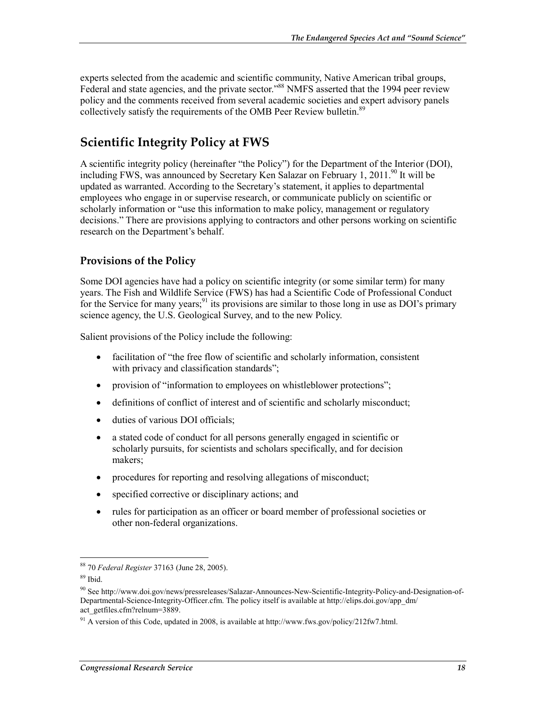experts selected from the academic and scientific community, Native American tribal groups, Federal and state agencies, and the private sector."<sup>88</sup> NMFS asserted that the 1994 peer review policy and the comments received from several academic societies and expert advisory panels collectively satisfy the requirements of the OMB Peer Review bulletin.<sup>89</sup>

#### **Scientific Integrity Policy at FWS**

A scientific integrity policy (hereinafter "the Policy") for the Department of the Interior (DOI), including FWS, was announced by Secretary Ken Salazar on February 1, 2011.<sup>90</sup> It will be updated as warranted. According to the Secretary's statement, it applies to departmental employees who engage in or supervise research, or communicate publicly on scientific or scholarly information or "use this information to make policy, management or regulatory decisions." There are provisions applying to contractors and other persons working on scientific research on the Department's behalf.

#### **Provisions of the Policy**

Some DOI agencies have had a policy on scientific integrity (or some similar term) for many years. The Fish and Wildlife Service (FWS) has had a Scientific Code of Professional Conduct for the Service for many years;  $91$  its provisions are similar to those long in use as DOI's primary science agency, the U.S. Geological Survey, and to the new Policy.

Salient provisions of the Policy include the following:

- facilitation of "the free flow of scientific and scholarly information, consistent with privacy and classification standards";
- provision of "information to employees on whistleblower protections";
- definitions of conflict of interest and of scientific and scholarly misconduct;
- duties of various DOI officials:
- a stated code of conduct for all persons generally engaged in scientific or scholarly pursuits, for scientists and scholars specifically, and for decision makers;
- procedures for reporting and resolving allegations of misconduct;
- specified corrective or disciplinary actions; and
- rules for participation as an officer or board member of professional societies or other non-federal organizations.

<sup>88 70</sup> *Federal Register* 37163 (June 28, 2005).

 $89$  Ibid.

<sup>90</sup> See http://www.doi.gov/news/pressreleases/Salazar-Announces-New-Scientific-Integrity-Policy-and-Designation-of-Departmental-Science-Integrity-Officer.cfm. The policy itself is available at http://elips.doi.gov/app\_dm/ act\_getfiles.cfm?relnum=3889.

<sup>&</sup>lt;sup>91</sup> A version of this Code, updated in 2008, is available at http://www.fws.gov/policy/212fw7.html.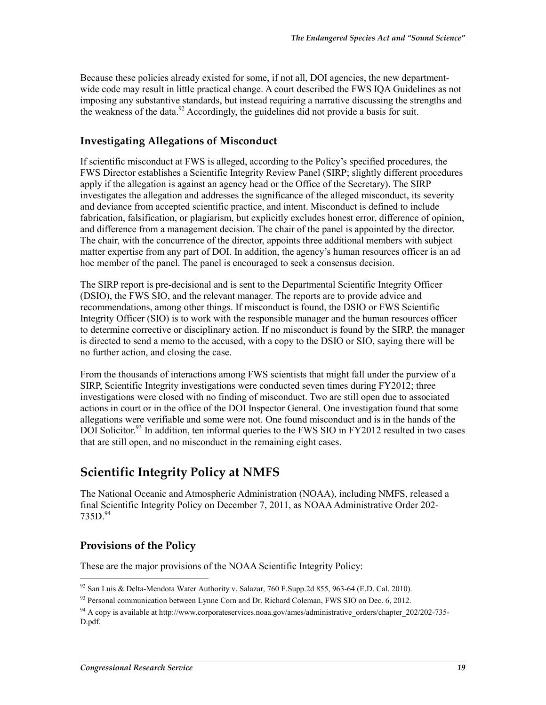Because these policies already existed for some, if not all, DOI agencies, the new departmentwide code may result in little practical change. A court described the FWS IQA Guidelines as not imposing any substantive standards, but instead requiring a narrative discussing the strengths and the weakness of the data.<sup>92</sup> Accordingly, the guidelines did not provide a basis for suit.

#### **Investigating Allegations of Misconduct**

If scientific misconduct at FWS is alleged, according to the Policy's specified procedures, the FWS Director establishes a Scientific Integrity Review Panel (SIRP; slightly different procedures apply if the allegation is against an agency head or the Office of the Secretary). The SIRP investigates the allegation and addresses the significance of the alleged misconduct, its severity and deviance from accepted scientific practice, and intent. Misconduct is defined to include fabrication, falsification, or plagiarism, but explicitly excludes honest error, difference of opinion, and difference from a management decision. The chair of the panel is appointed by the director. The chair, with the concurrence of the director, appoints three additional members with subject matter expertise from any part of DOI. In addition, the agency's human resources officer is an ad hoc member of the panel. The panel is encouraged to seek a consensus decision.

The SIRP report is pre-decisional and is sent to the Departmental Scientific Integrity Officer (DSIO), the FWS SIO, and the relevant manager. The reports are to provide advice and recommendations, among other things. If misconduct is found, the DSIO or FWS Scientific Integrity Officer (SIO) is to work with the responsible manager and the human resources officer to determine corrective or disciplinary action. If no misconduct is found by the SIRP, the manager is directed to send a memo to the accused, with a copy to the DSIO or SIO, saying there will be no further action, and closing the case.

From the thousands of interactions among FWS scientists that might fall under the purview of a SIRP, Scientific Integrity investigations were conducted seven times during FY2012; three investigations were closed with no finding of misconduct. Two are still open due to associated actions in court or in the office of the DOI Inspector General. One investigation found that some allegations were verifiable and some were not. One found misconduct and is in the hands of the DOI Solicitor.<sup>93</sup> In addition, ten informal queries to the FWS SIO in FY2012 resulted in two cases that are still open, and no misconduct in the remaining eight cases.

#### **Scientific Integrity Policy at NMFS**

The National Oceanic and Atmospheric Administration (NOAA), including NMFS, released a final Scientific Integrity Policy on December 7, 2011, as NOAA Administrative Order 202-  $735D^{94}$ 

#### **Provisions of the Policy**

1

These are the major provisions of the NOAA Scientific Integrity Policy:

 $92$  San Luis & Delta-Mendota Water Authority v. Salazar, 760 F. Supp.2d 855, 963-64 (E.D. Cal. 2010).

<sup>93</sup> Personal communication between Lynne Corn and Dr. Richard Coleman, FWS SIO on Dec. 6, 2012.

<sup>&</sup>lt;sup>94</sup> A copy is available at http://www.corporateservices.noaa.gov/ames/administrative\_orders/chapter\_202/202-735-D.pdf.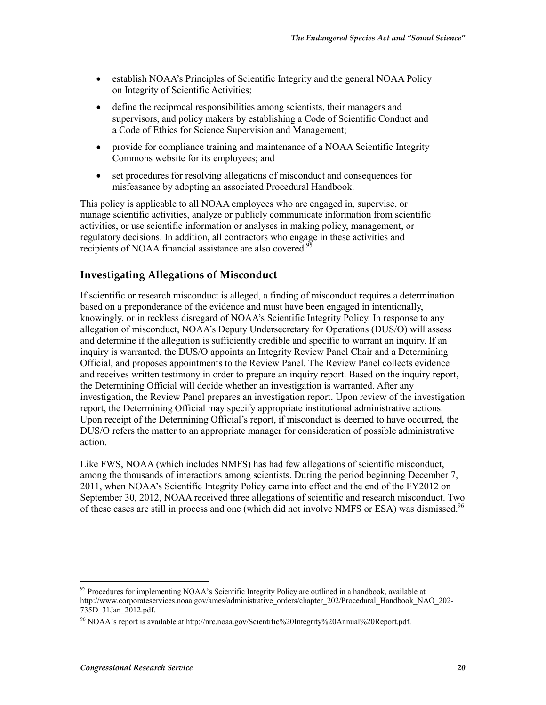- establish NOAA's Principles of Scientific Integrity and the general NOAA Policy on Integrity of Scientific Activities;
- define the reciprocal responsibilities among scientists, their managers and supervisors, and policy makers by establishing a Code of Scientific Conduct and a Code of Ethics for Science Supervision and Management;
- provide for compliance training and maintenance of a NOAA Scientific Integrity Commons website for its employees; and
- set procedures for resolving allegations of misconduct and consequences for misfeasance by adopting an associated Procedural Handbook.

This policy is applicable to all NOAA employees who are engaged in, supervise, or manage scientific activities, analyze or publicly communicate information from scientific activities, or use scientific information or analyses in making policy, management, or regulatory decisions. In addition, all contractors who engage in these activities and recipients of NOAA financial assistance are also covered.<sup>95</sup>

#### **Investigating Allegations of Misconduct**

If scientific or research misconduct is alleged, a finding of misconduct requires a determination based on a preponderance of the evidence and must have been engaged in intentionally, knowingly, or in reckless disregard of NOAA's Scientific Integrity Policy. In response to any allegation of misconduct, NOAA's Deputy Undersecretary for Operations (DUS/O) will assess and determine if the allegation is sufficiently credible and specific to warrant an inquiry. If an inquiry is warranted, the DUS/O appoints an Integrity Review Panel Chair and a Determining Official, and proposes appointments to the Review Panel. The Review Panel collects evidence and receives written testimony in order to prepare an inquiry report. Based on the inquiry report, the Determining Official will decide whether an investigation is warranted. After any investigation, the Review Panel prepares an investigation report. Upon review of the investigation report, the Determining Official may specify appropriate institutional administrative actions. Upon receipt of the Determining Official's report, if misconduct is deemed to have occurred, the DUS/O refers the matter to an appropriate manager for consideration of possible administrative action.

Like FWS, NOAA (which includes NMFS) has had few allegations of scientific misconduct, among the thousands of interactions among scientists. During the period beginning December 7, 2011, when NOAA's Scientific Integrity Policy came into effect and the end of the FY2012 on September 30, 2012, NOAA received three allegations of scientific and research misconduct. Two of these cases are still in process and one (which did not involve NMFS or ESA) was dismissed.<sup>96</sup>

<sup>&</sup>lt;sup>95</sup> Procedures for implementing NOAA's Scientific Integrity Policy are outlined in a handbook, available at http://www.corporateservices.noaa.gov/ames/administrative\_orders/chapter\_202/Procedural\_Handbook\_NAO\_202- 735D\_31Jan\_2012.pdf.

<sup>96</sup> NOAA's report is available at http://nrc.noaa.gov/Scientific%20Integrity%20Annual%20Report.pdf.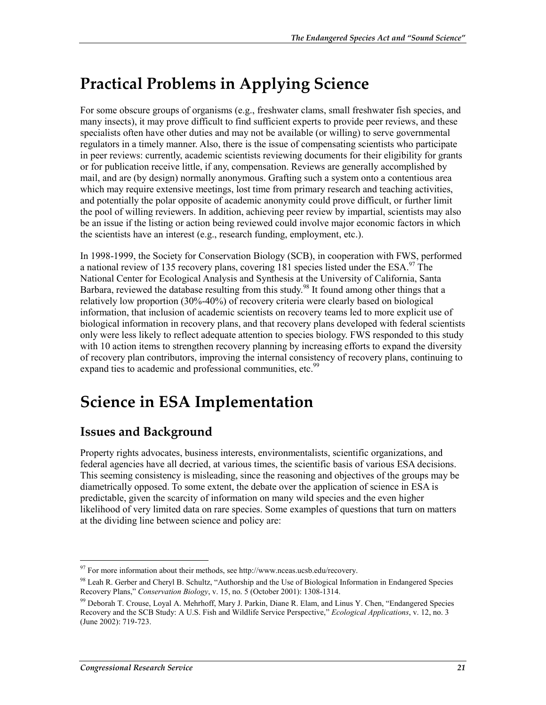## **Practical Problems in Applying Science**

For some obscure groups of organisms (e.g., freshwater clams, small freshwater fish species, and many insects), it may prove difficult to find sufficient experts to provide peer reviews, and these specialists often have other duties and may not be available (or willing) to serve governmental regulators in a timely manner. Also, there is the issue of compensating scientists who participate in peer reviews: currently, academic scientists reviewing documents for their eligibility for grants or for publication receive little, if any, compensation. Reviews are generally accomplished by mail, and are (by design) normally anonymous. Grafting such a system onto a contentious area which may require extensive meetings, lost time from primary research and teaching activities, and potentially the polar opposite of academic anonymity could prove difficult, or further limit the pool of willing reviewers. In addition, achieving peer review by impartial, scientists may also be an issue if the listing or action being reviewed could involve major economic factors in which the scientists have an interest (e.g., research funding, employment, etc.).

In 1998-1999, the Society for Conservation Biology (SCB), in cooperation with FWS, performed a national review of 135 recovery plans, covering 181 species listed under the ESA.<sup>97</sup> The National Center for Ecological Analysis and Synthesis at the University of California, Santa Barbara, reviewed the database resulting from this study.<sup>98</sup> It found among other things that a relatively low proportion (30%-40%) of recovery criteria were clearly based on biological information, that inclusion of academic scientists on recovery teams led to more explicit use of biological information in recovery plans, and that recovery plans developed with federal scientists only were less likely to reflect adequate attention to species biology. FWS responded to this study with 10 action items to strengthen recovery planning by increasing efforts to expand the diversity of recovery plan contributors, improving the internal consistency of recovery plans, continuing to expand ties to academic and professional communities, etc.<sup>99</sup>

## **Science in ESA Implementation**

### **Issues and Background**

Property rights advocates, business interests, environmentalists, scientific organizations, and federal agencies have all decried, at various times, the scientific basis of various ESA decisions. This seeming consistency is misleading, since the reasoning and objectives of the groups may be diametrically opposed. To some extent, the debate over the application of science in ESA is predictable, given the scarcity of information on many wild species and the even higher likelihood of very limited data on rare species. Some examples of questions that turn on matters at the dividing line between science and policy are:

<sup>1</sup>  $97$  For more information about their methods, see http://www.nceas.ucsb.edu/recovery.

<sup>98</sup> Leah R. Gerber and Cheryl B. Schultz, "Authorship and the Use of Biological Information in Endangered Species Recovery Plans," *Conservation Biology*, v. 15, no. 5 (October 2001): 1308-1314.

<sup>99</sup> Deborah T. Crouse, Loyal A. Mehrhoff, Mary J. Parkin, Diane R. Elam, and Linus Y. Chen, "Endangered Species Recovery and the SCB Study: A U.S. Fish and Wildlife Service Perspective," *Ecological Applications*, v. 12, no. 3 (June 2002): 719-723.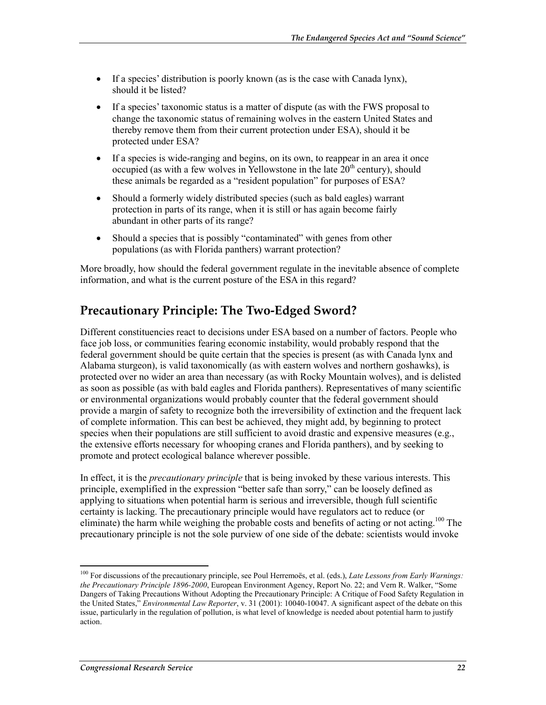- If a species' distribution is poorly known (as is the case with Canada lynx), should it be listed?
- If a species' taxonomic status is a matter of dispute (as with the FWS proposal to change the taxonomic status of remaining wolves in the eastern United States and thereby remove them from their current protection under ESA), should it be protected under ESA?
- If a species is wide-ranging and begins, on its own, to reappear in an area it once occupied (as with a few wolves in Yellowstone in the late  $20<sup>th</sup>$  century), should these animals be regarded as a "resident population" for purposes of ESA?
- Should a formerly widely distributed species (such as bald eagles) warrant protection in parts of its range, when it is still or has again become fairly abundant in other parts of its range?
- Should a species that is possibly "contaminated" with genes from other populations (as with Florida panthers) warrant protection?

More broadly, how should the federal government regulate in the inevitable absence of complete information, and what is the current posture of the ESA in this regard?

### **Precautionary Principle: The Two-Edged Sword?**

Different constituencies react to decisions under ESA based on a number of factors. People who face job loss, or communities fearing economic instability, would probably respond that the federal government should be quite certain that the species is present (as with Canada lynx and Alabama sturgeon), is valid taxonomically (as with eastern wolves and northern goshawks), is protected over no wider an area than necessary (as with Rocky Mountain wolves), and is delisted as soon as possible (as with bald eagles and Florida panthers). Representatives of many scientific or environmental organizations would probably counter that the federal government should provide a margin of safety to recognize both the irreversibility of extinction and the frequent lack of complete information. This can best be achieved, they might add, by beginning to protect species when their populations are still sufficient to avoid drastic and expensive measures (e.g., the extensive efforts necessary for whooping cranes and Florida panthers), and by seeking to promote and protect ecological balance wherever possible.

In effect, it is the *precautionary principle* that is being invoked by these various interests. This principle, exemplified in the expression "better safe than sorry," can be loosely defined as applying to situations when potential harm is serious and irreversible, though full scientific certainty is lacking. The precautionary principle would have regulators act to reduce (or eliminate) the harm while weighing the probable costs and benefits of acting or not acting.<sup>100</sup> The precautionary principle is not the sole purview of one side of the debate: scientists would invoke

<sup>100</sup> For discussions of the precautionary principle, see Poul Herremoës, et al. (eds.), *Late Lessons from Early Warnings: the Precautionary Principle 1896-2000*, European Environment Agency, Report No. 22; and Vern R. Walker, "Some Dangers of Taking Precautions Without Adopting the Precautionary Principle: A Critique of Food Safety Regulation in the United States," *Environmental Law Reporter*, v. 31 (2001): 10040-10047. A significant aspect of the debate on this issue, particularly in the regulation of pollution, is what level of knowledge is needed about potential harm to justify action.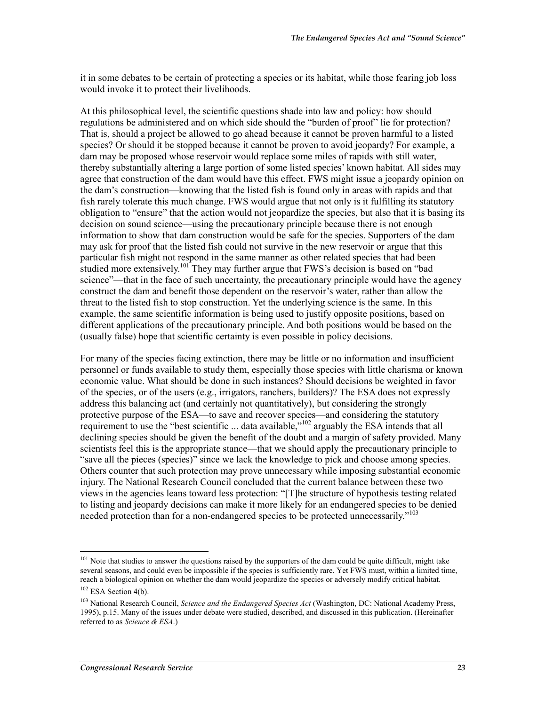it in some debates to be certain of protecting a species or its habitat, while those fearing job loss would invoke it to protect their livelihoods.

At this philosophical level, the scientific questions shade into law and policy: how should regulations be administered and on which side should the "burden of proof" lie for protection? That is, should a project be allowed to go ahead because it cannot be proven harmful to a listed species? Or should it be stopped because it cannot be proven to avoid jeopardy? For example, a dam may be proposed whose reservoir would replace some miles of rapids with still water, thereby substantially altering a large portion of some listed species' known habitat. All sides may agree that construction of the dam would have this effect. FWS might issue a jeopardy opinion on the dam's construction—knowing that the listed fish is found only in areas with rapids and that fish rarely tolerate this much change. FWS would argue that not only is it fulfilling its statutory obligation to "ensure" that the action would not jeopardize the species, but also that it is basing its decision on sound science—using the precautionary principle because there is not enough information to show that dam construction would be safe for the species. Supporters of the dam may ask for proof that the listed fish could not survive in the new reservoir or argue that this particular fish might not respond in the same manner as other related species that had been studied more extensively.<sup>101</sup> They may further argue that FWS's decision is based on "bad" science"—that in the face of such uncertainty, the precautionary principle would have the agency construct the dam and benefit those dependent on the reservoir's water, rather than allow the threat to the listed fish to stop construction. Yet the underlying science is the same. In this example, the same scientific information is being used to justify opposite positions, based on different applications of the precautionary principle. And both positions would be based on the (usually false) hope that scientific certainty is even possible in policy decisions.

For many of the species facing extinction, there may be little or no information and insufficient personnel or funds available to study them, especially those species with little charisma or known economic value. What should be done in such instances? Should decisions be weighted in favor of the species, or of the users (e.g., irrigators, ranchers, builders)? The ESA does not expressly address this balancing act (and certainly not quantitatively), but considering the strongly protective purpose of the ESA—to save and recover species—and considering the statutory requirement to use the "best scientific ... data available,"<sup>102</sup> arguably the ESA intends that all declining species should be given the benefit of the doubt and a margin of safety provided. Many scientists feel this is the appropriate stance—that we should apply the precautionary principle to "save all the pieces (species)" since we lack the knowledge to pick and choose among species. Others counter that such protection may prove unnecessary while imposing substantial economic injury. The National Research Council concluded that the current balance between these two views in the agencies leans toward less protection: "[T]he structure of hypothesis testing related to listing and jeopardy decisions can make it more likely for an endangered species to be denied needed protection than for a non-endangered species to be protected unnecessarily.<sup>"103</sup>

<sup>&</sup>lt;sup>101</sup> Note that studies to answer the questions raised by the supporters of the dam could be quite difficult, might take several seasons, and could even be impossible if the species is sufficiently rare. Yet FWS must, within a limited time, reach a biological opinion on whether the dam would jeopardize the species or adversely modify critical habitat.

 $102$  ESA Section 4(b).

<sup>103</sup> National Research Council, *Science and the Endangered Species Act* (Washington, DC: National Academy Press, 1995), p.15. Many of the issues under debate were studied, described, and discussed in this publication. (Hereinafter referred to as *Science & ESA*.)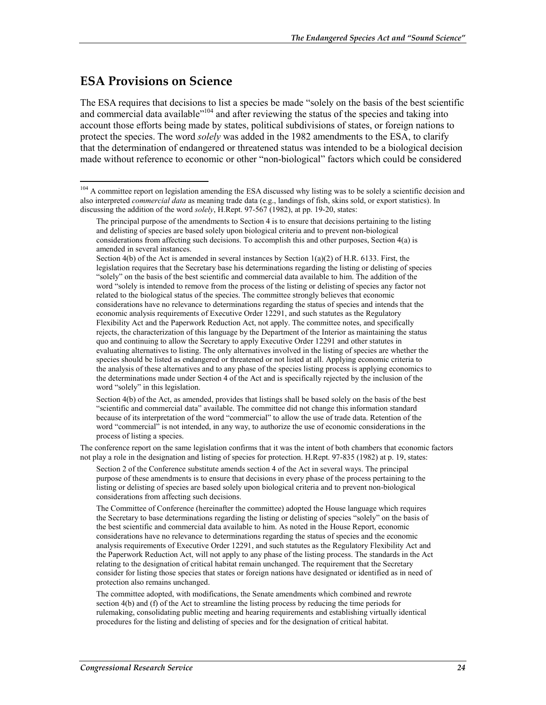#### **ESA Provisions on Science**

1

The ESA requires that decisions to list a species be made "solely on the basis of the best scientific and commercial data available"<sup>104</sup> and after reviewing the status of the species and taking into account those efforts being made by states, political subdivisions of states, or foreign nations to protect the species. The word *solely* was added in the 1982 amendments to the ESA, to clarify that the determination of endangered or threatened status was intended to be a biological decision made without reference to economic or other "non-biological" factors which could be considered

Section 4(b) of the Act is amended in several instances by Section 1(a)(2) of H.R. 6133. First, the legislation requires that the Secretary base his determinations regarding the listing or delisting of species "solely" on the basis of the best scientific and commercial data available to him. The addition of the word "solely is intended to remove from the process of the listing or delisting of species any factor not related to the biological status of the species. The committee strongly believes that economic considerations have no relevance to determinations regarding the status of species and intends that the economic analysis requirements of Executive Order 12291, and such statutes as the Regulatory Flexibility Act and the Paperwork Reduction Act, not apply. The committee notes, and specifically rejects, the characterization of this language by the Department of the Interior as maintaining the status quo and continuing to allow the Secretary to apply Executive Order 12291 and other statutes in evaluating alternatives to listing. The only alternatives involved in the listing of species are whether the species should be listed as endangered or threatened or not listed at all. Applying economic criteria to the analysis of these alternatives and to any phase of the species listing process is applying economics to the determinations made under Section 4 of the Act and is specifically rejected by the inclusion of the word "solely" in this legislation.

Section 4(b) of the Act, as amended, provides that listings shall be based solely on the basis of the best "scientific and commercial data" available. The committee did not change this information standard because of its interpretation of the word "commercial" to allow the use of trade data. Retention of the word "commercial" is not intended, in any way, to authorize the use of economic considerations in the process of listing a species.

The conference report on the same legislation confirms that it was the intent of both chambers that economic factors not play a role in the designation and listing of species for protection. H.Rept. 97-835 (1982) at p. 19, states:

Section 2 of the Conference substitute amends section 4 of the Act in several ways. The principal purpose of these amendments is to ensure that decisions in every phase of the process pertaining to the listing or delisting of species are based solely upon biological criteria and to prevent non-biological considerations from affecting such decisions.

The Committee of Conference (hereinafter the committee) adopted the House language which requires the Secretary to base determinations regarding the listing or delisting of species "solely" on the basis of the best scientific and commercial data available to him. As noted in the House Report, economic considerations have no relevance to determinations regarding the status of species and the economic analysis requirements of Executive Order 12291, and such statutes as the Regulatory Flexibility Act and the Paperwork Reduction Act, will not apply to any phase of the listing process. The standards in the Act relating to the designation of critical habitat remain unchanged. The requirement that the Secretary consider for listing those species that states or foreign nations have designated or identified as in need of protection also remains unchanged.

The committee adopted, with modifications, the Senate amendments which combined and rewrote section 4(b) and (f) of the Act to streamline the listing process by reducing the time periods for rulemaking, consolidating public meeting and hearing requirements and establishing virtually identical procedures for the listing and delisting of species and for the designation of critical habitat.

<sup>&</sup>lt;sup>104</sup> A committee report on legislation amending the ESA discussed why listing was to be solely a scientific decision and also interpreted *commercial data* as meaning trade data (e.g., landings of fish, skins sold, or export statistics). In discussing the addition of the word *solely*, H.Rept. 97-567 (1982), at pp. 19-20, states:

The principal purpose of the amendments to Section 4 is to ensure that decisions pertaining to the listing and delisting of species are based solely upon biological criteria and to prevent non-biological considerations from affecting such decisions. To accomplish this and other purposes, Section 4(a) is amended in several instances.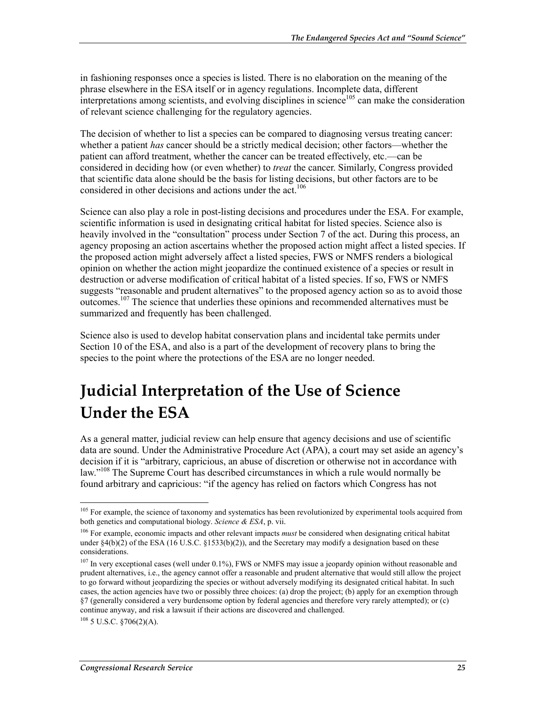in fashioning responses once a species is listed. There is no elaboration on the meaning of the phrase elsewhere in the ESA itself or in agency regulations. Incomplete data, different  $\frac{1}{2}$  interpretations among scientists, and evolving disciplines in science<sup>105</sup> can make the consideration of relevant science challenging for the regulatory agencies.

The decision of whether to list a species can be compared to diagnosing versus treating cancer: whether a patient *has* cancer should be a strictly medical decision; other factors—whether the patient can afford treatment, whether the cancer can be treated effectively, etc.—can be considered in deciding how (or even whether) to *treat* the cancer. Similarly, Congress provided that scientific data alone should be the basis for listing decisions, but other factors are to be considered in other decisions and actions under the act.<sup>106</sup>

Science can also play a role in post-listing decisions and procedures under the ESA. For example, scientific information is used in designating critical habitat for listed species. Science also is heavily involved in the "consultation" process under Section 7 of the act. During this process, an agency proposing an action ascertains whether the proposed action might affect a listed species. If the proposed action might adversely affect a listed species, FWS or NMFS renders a biological opinion on whether the action might jeopardize the continued existence of a species or result in destruction or adverse modification of critical habitat of a listed species. If so, FWS or NMFS suggests "reasonable and prudent alternatives" to the proposed agency action so as to avoid those outcomes.<sup>107</sup> The science that underlies these opinions and recommended alternatives must be summarized and frequently has been challenged.

Science also is used to develop habitat conservation plans and incidental take permits under Section 10 of the ESA, and also is a part of the development of recovery plans to bring the species to the point where the protections of the ESA are no longer needed.

## **Judicial Interpretation of the Use of Science Under the ESA**

As a general matter, judicial review can help ensure that agency decisions and use of scientific data are sound. Under the Administrative Procedure Act (APA), a court may set aside an agency's decision if it is "arbitrary, capricious, an abuse of discretion or otherwise not in accordance with law."<sup>108</sup> The Supreme Court has described circumstances in which a rule would normally be found arbitrary and capricious: "if the agency has relied on factors which Congress has not

<sup>&</sup>lt;sup>105</sup> For example, the science of taxonomy and systematics has been revolutionized by experimental tools acquired from both genetics and computational biology. *Science & ESA*, p. vii.

<sup>106</sup> For example, economic impacts and other relevant impacts *must* be considered when designating critical habitat under  $\S4(b)(2)$  of the ESA (16 U.S.C.  $\S1533(b)(2)$ ), and the Secretary may modify a designation based on these considerations.

 $107$  In very exceptional cases (well under 0.1%), FWS or NMFS may issue a jeopardy opinion without reasonable and prudent alternatives, i.e., the agency cannot offer a reasonable and prudent alternative that would still allow the project to go forward without jeopardizing the species or without adversely modifying its designated critical habitat. In such cases, the action agencies have two or possibly three choices: (a) drop the project; (b) apply for an exemption through §7 (generally considered a very burdensome option by federal agencies and therefore very rarely attempted); or (c) continue anyway, and risk a lawsuit if their actions are discovered and challenged.

 $108$  5 U.S.C.  $$706(2)(A)$ .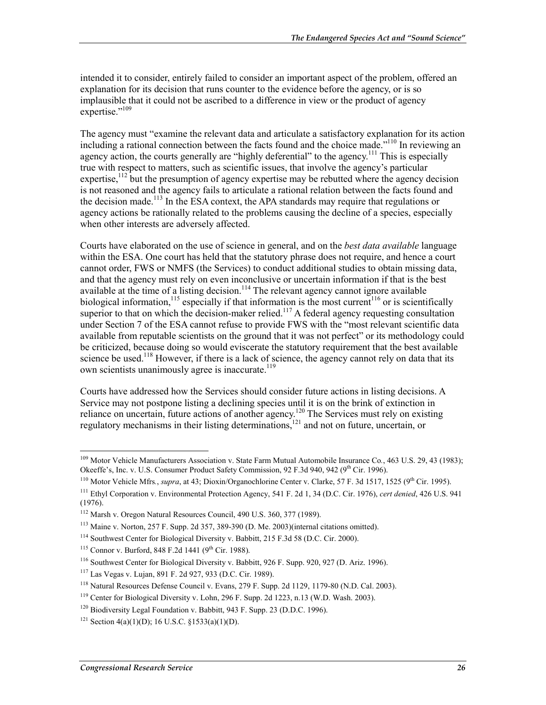intended it to consider, entirely failed to consider an important aspect of the problem, offered an explanation for its decision that runs counter to the evidence before the agency, or is so implausible that it could not be ascribed to a difference in view or the product of agency expertise."<sup>109</sup>

The agency must "examine the relevant data and articulate a satisfactory explanation for its action including a rational connection between the facts found and the choice made."<sup>110</sup> In reviewing an agency action, the courts generally are "highly deferential" to the agency.<sup>111</sup> This is especially true with respect to matters, such as scientific issues, that involve the agency's particular expertise,  $^{112}$  but the presumption of agency expertise may be rebutted where the agency decision is not reasoned and the agency fails to articulate a rational relation between the facts found and the decision made.<sup>113</sup> In the ESA context, the APA standards may require that regulations or agency actions be rationally related to the problems causing the decline of a species, especially when other interests are adversely affected.

Courts have elaborated on the use of science in general, and on the *best data available* language within the ESA. One court has held that the statutory phrase does not require, and hence a court cannot order, FWS or NMFS (the Services) to conduct additional studies to obtain missing data, and that the agency must rely on even inconclusive or uncertain information if that is the best available at the time of a listing decision.<sup>114</sup> The relevant agency cannot ignore available biological information,<sup>115</sup> especially if that information is the most current<sup>116</sup> or is scientifically superior to that on which the decision-maker relied.<sup>117</sup> A federal agency requesting consultation under Section 7 of the ESA cannot refuse to provide FWS with the "most relevant scientific data available from reputable scientists on the ground that it was not perfect" or its methodology could be criticized, because doing so would eviscerate the statutory requirement that the best available science be used.<sup>118</sup> However, if there is a lack of science, the agency cannot rely on data that its own scientists unanimously agree is inaccurate.<sup>119</sup>

Courts have addressed how the Services should consider future actions in listing decisions. A Service may not postpone listing a declining species until it is on the brink of extinction in reliance on uncertain, future actions of another agency.<sup>120</sup> The Services must rely on existing regulatory mechanisms in their listing determinations,<sup>121</sup> and not on future, uncertain, or

<sup>109</sup> Motor Vehicle Manufacturers Association v. State Farm Mutual Automobile Insurance Co*.*, 463 U.S. 29, 43 (1983); Okeeffe's, Inc. v. U.S. Consumer Product Safety Commission, 92 F.3d 940, 942 (9<sup>th</sup> Cir. 1996).

<sup>&</sup>lt;sup>110</sup> Motor Vehicle Mfrs., *supra*, at 43; Dioxin/Organochlorine Center v. Clarke, 57 F. 3d 1517, 1525 (9<sup>th</sup> Cir. 1995).

<sup>111</sup> Ethyl Corporation v. Environmental Protection Agency, 541 F. 2d 1, 34 (D.C. Cir. 1976), *cert denied*, 426 U.S. 941 (1976).

<sup>112</sup> Marsh v. Oregon Natural Resources Council, 490 U.S. 360, 377 (1989).

<sup>113</sup> Maine v. Norton, 257 F. Supp. 2d 357, 389-390 (D. Me. 2003)(internal citations omitted).

<sup>114</sup> Southwest Center for Biological Diversity v. Babbitt, 215 F.3d 58 (D.C. Cir. 2000).

 $115$  Connor v. Burford, 848 F.2d 1441 (9<sup>th</sup> Cir. 1988).

<sup>116</sup> Southwest Center for Biological Diversity v. Babbitt, 926 F. Supp. 920, 927 (D. Ariz. 1996).

<sup>117</sup> Las Vegas v. Lujan, 891 F. 2d 927, 933 (D.C. Cir. 1989).

<sup>118</sup> Natural Resources Defense Council v. Evans, 279 F. Supp. 2d 1129, 1179-80 (N.D. Cal. 2003).

<sup>119</sup> Center for Biological Diversity v. Lohn, 296 F. Supp. 2d 1223, n.13 (W.D. Wash. 2003).

<sup>120</sup> Biodiversity Legal Foundation v. Babbitt, 943 F. Supp. 23 (D.D.C. 1996).

<sup>&</sup>lt;sup>121</sup> Section 4(a)(1)(D); 16 U.S.C.  $$1533(a)(1)(D)$ .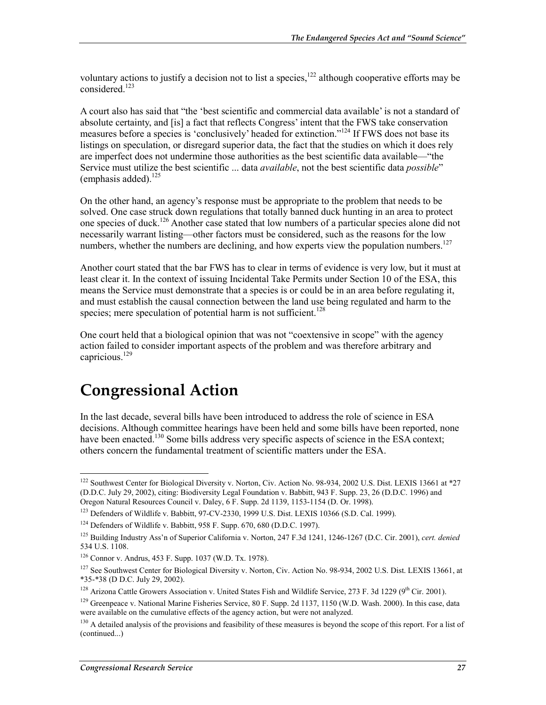voluntary actions to justify a decision not to list a species,<sup>122</sup> although cooperative efforts may be considered.123

A court also has said that "the 'best scientific and commercial data available' is not a standard of absolute certainty, and [is] a fact that reflects Congress' intent that the FWS take conservation measures before a species is 'conclusively' headed for extinction."<sup>124</sup> If FWS does not base its listings on speculation, or disregard superior data, the fact that the studies on which it does rely are imperfect does not undermine those authorities as the best scientific data available—"the Service must utilize the best scientific ... data *available*, not the best scientific data *possible*" (emphasis added).<sup>125</sup>

On the other hand, an agency's response must be appropriate to the problem that needs to be solved. One case struck down regulations that totally banned duck hunting in an area to protect one species of duck.126 Another case stated that low numbers of a particular species alone did not necessarily warrant listing—other factors must be considered, such as the reasons for the low numbers, whether the numbers are declining, and how experts view the population numbers.<sup>127</sup>

Another court stated that the bar FWS has to clear in terms of evidence is very low, but it must at least clear it. In the context of issuing Incidental Take Permits under Section 10 of the ESA, this means the Service must demonstrate that a species is or could be in an area before regulating it, and must establish the causal connection between the land use being regulated and harm to the species; mere speculation of potential harm is not sufficient.<sup>128</sup>

One court held that a biological opinion that was not "coextensive in scope" with the agency action failed to consider important aspects of the problem and was therefore arbitrary and capricious.<sup>129</sup>

### **Congressional Action**

In the last decade, several bills have been introduced to address the role of science in ESA decisions. Although committee hearings have been held and some bills have been reported, none have been enacted.<sup>130</sup> Some bills address very specific aspects of science in the ESA context; others concern the fundamental treatment of scientific matters under the ESA.

<u>.</u>

<sup>&</sup>lt;sup>122</sup> Southwest Center for Biological Diversity v. Norton, Civ. Action No. 98-934, 2002 U.S. Dist. LEXIS 13661 at \*27 (D.D.C. July 29, 2002), citing: Biodiversity Legal Foundation v. Babbitt, 943 F. Supp. 23, 26 (D.D.C. 1996) and Oregon Natural Resources Council v. Daley, 6 F. Supp. 2d 1139, 1153-1154 (D. Or. 1998).

<sup>123</sup> Defenders of Wildlife v. Babbitt, 97-CV-2330, 1999 U.S. Dist. LEXIS 10366 (S.D. Cal. 1999).

<sup>124</sup> Defenders of Wildlife v. Babbitt, 958 F. Supp. 670, 680 (D.D.C. 1997).

<sup>125</sup> Building Industry Ass'n of Superior California v. Norton, 247 F.3d 1241, 1246-1267 (D.C. Cir. 2001), *cert. denied* 534 U.S. 1108.

<sup>126</sup> Connor v. Andrus, 453 F. Supp. 1037 (W.D. Tx. 1978).

<sup>&</sup>lt;sup>127</sup> See Southwest Center for Biological Diversity v. Norton, Civ. Action No. 98-934, 2002 U.S. Dist. LEXIS 13661, at \*35-\*38 (D D.C. July 29, 2002).

<sup>&</sup>lt;sup>128</sup> Arizona Cattle Growers Association v. United States Fish and Wildlife Service, 273 F. 3d 1229 (9<sup>th</sup> Cir. 2001).

<sup>&</sup>lt;sup>129</sup> Greenpeace v. National Marine Fisheries Service, 80 F. Supp. 2d 1137, 1150 (W.D. Wash. 2000). In this case, data were available on the cumulative effects of the agency action, but were not analyzed.

<sup>&</sup>lt;sup>130</sup> A detailed analysis of the provisions and feasibility of these measures is beyond the scope of this report. For a list of (continued...)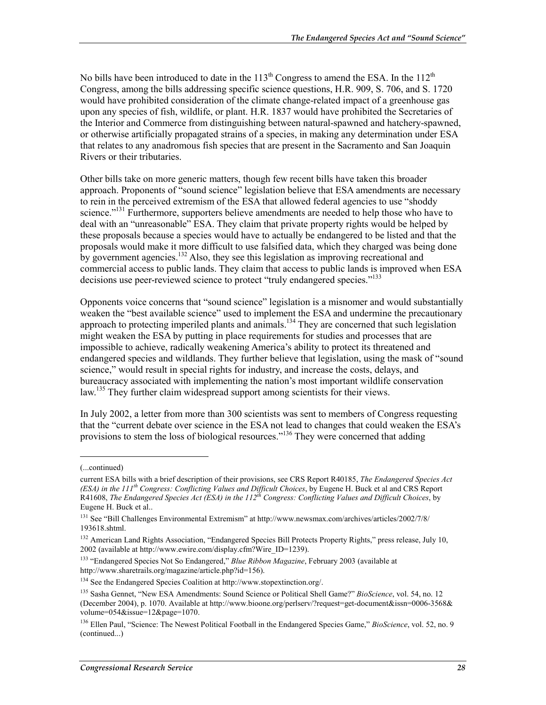No bills have been introduced to date in the  $113<sup>th</sup>$  Congress to amend the ESA. In the  $112<sup>th</sup>$ Congress, among the bills addressing specific science questions, H.R. 909, S. 706, and S. 1720 would have prohibited consideration of the climate change-related impact of a greenhouse gas upon any species of fish, wildlife, or plant. H.R. 1837 would have prohibited the Secretaries of the Interior and Commerce from distinguishing between natural-spawned and hatchery-spawned, or otherwise artificially propagated strains of a species, in making any determination under ESA that relates to any anadromous fish species that are present in the Sacramento and San Joaquin Rivers or their tributaries.

Other bills take on more generic matters, though few recent bills have taken this broader approach. Proponents of "sound science" legislation believe that ESA amendments are necessary to rein in the perceived extremism of the ESA that allowed federal agencies to use "shoddy science."<sup>131</sup> Furthermore, supporters believe amendments are needed to help those who have to deal with an "unreasonable" ESA. They claim that private property rights would be helped by these proposals because a species would have to actually be endangered to be listed and that the proposals would make it more difficult to use falsified data, which they charged was being done by government agencies.<sup>132</sup> Also, they see this legislation as improving recreational and commercial access to public lands. They claim that access to public lands is improved when ESA decisions use peer-reviewed science to protect "truly endangered species."<sup>133</sup>

Opponents voice concerns that "sound science" legislation is a misnomer and would substantially weaken the "best available science" used to implement the ESA and undermine the precautionary approach to protecting imperiled plants and animals.<sup>134</sup> They are concerned that such legislation might weaken the ESA by putting in place requirements for studies and processes that are impossible to achieve, radically weakening America's ability to protect its threatened and endangered species and wildlands. They further believe that legislation, using the mask of "sound science," would result in special rights for industry, and increase the costs, delays, and bureaucracy associated with implementing the nation's most important wildlife conservation law.<sup>135</sup> They further claim widespread support among scientists for their views.

In July 2002, a letter from more than 300 scientists was sent to members of Congress requesting that the "current debate over science in the ESA not lead to changes that could weaken the ESA's provisions to stem the loss of biological resources."<sup>136</sup> They were concerned that adding

 $\overline{a}$ 

<sup>(...</sup>continued)

current ESA bills with a brief description of their provisions, see CRS Report R40185, *The Endangered Species Act (ESA) in the 111th Congress: Conflicting Values and Difficult Choices*, by Eugene H. Buck et al and CRS Report R41608, *The Endangered Species Act (ESA) in the 112th Congress: Conflicting Values and Difficult Choices*, by Eugene H. Buck et al..

<sup>131</sup> See "Bill Challenges Environmental Extremism" at http://www.newsmax.com/archives/articles/2002/7/8/ 193618.shtml.

<sup>&</sup>lt;sup>132</sup> American Land Rights Association, "Endangered Species Bill Protects Property Rights," press release, July 10, 2002 (available at http://www.ewire.com/display.cfm?Wire\_ID=1239).

<sup>133 &</sup>quot;Endangered Species Not So Endangered," *Blue Ribbon Magazine*, February 2003 (available at http://www.sharetrails.org/magazine/article.php?id=156).

<sup>134</sup> See the Endangered Species Coalition at http://www.stopextinction.org/.

<sup>135</sup> Sasha Gennet, "New ESA Amendments: Sound Science or Political Shell Game?" *BioScience*, vol. 54, no. 12 (December 2004), p. 1070. Available at http://www.bioone.org/perlserv/?request=get-document&issn=0006-3568& volume=054&issue=12&page=1070.

<sup>136</sup> Ellen Paul, "Science: The Newest Political Football in the Endangered Species Game," *BioScience*, vol. 52, no. 9 (continued...)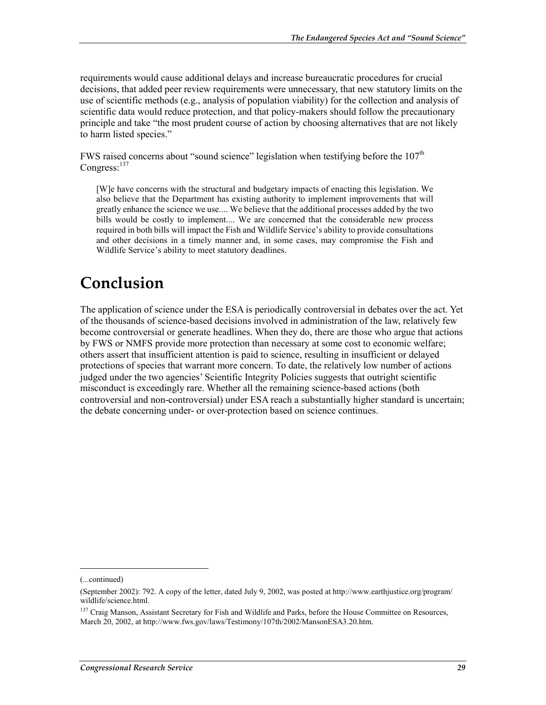requirements would cause additional delays and increase bureaucratic procedures for crucial decisions, that added peer review requirements were unnecessary, that new statutory limits on the use of scientific methods (e.g., analysis of population viability) for the collection and analysis of scientific data would reduce protection, and that policy-makers should follow the precautionary principle and take "the most prudent course of action by choosing alternatives that are not likely to harm listed species."

FWS raised concerns about "sound science" legislation when testifying before the  $107<sup>th</sup>$ Congress:<sup>137</sup>

[W]e have concerns with the structural and budgetary impacts of enacting this legislation. We also believe that the Department has existing authority to implement improvements that will greatly enhance the science we use.... We believe that the additional processes added by the two bills would be costly to implement.... We are concerned that the considerable new process required in both bills will impact the Fish and Wildlife Service's ability to provide consultations and other decisions in a timely manner and, in some cases, may compromise the Fish and Wildlife Service's ability to meet statutory deadlines.

### **Conclusion**

The application of science under the ESA is periodically controversial in debates over the act. Yet of the thousands of science-based decisions involved in administration of the law, relatively few become controversial or generate headlines. When they do, there are those who argue that actions by FWS or NMFS provide more protection than necessary at some cost to economic welfare; others assert that insufficient attention is paid to science, resulting in insufficient or delayed protections of species that warrant more concern. To date, the relatively low number of actions judged under the two agencies' Scientific Integrity Policies suggests that outright scientific misconduct is exceedingly rare. Whether all the remaining science-based actions (both controversial and non-controversial) under ESA reach a substantially higher standard is uncertain; the debate concerning under- or over-protection based on science continues.

<sup>(...</sup>continued)

<sup>(</sup>September 2002): 792. A copy of the letter, dated July 9, 2002, was posted at http://www.earthjustice.org/program/ wildlife/science.html.

<sup>&</sup>lt;sup>137</sup> Craig Manson, Assistant Secretary for Fish and Wildlife and Parks, before the House Committee on Resources, March 20, 2002, at http://www.fws.gov/laws/Testimony/107th/2002/MansonESA3.20.htm.